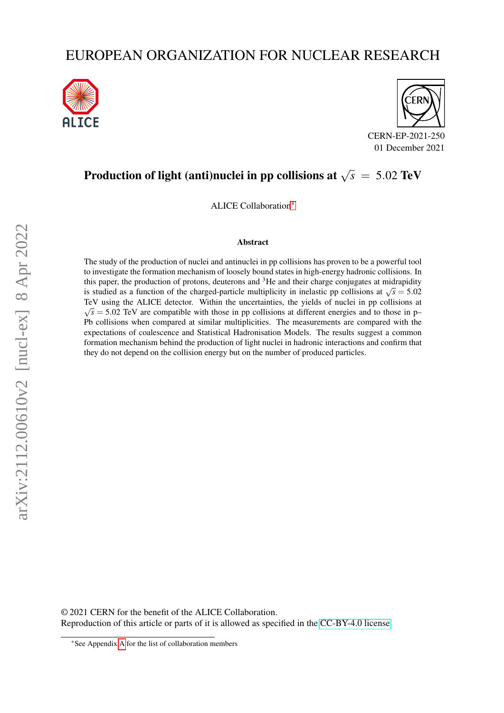# EUROPEAN ORGANIZATION FOR NUCLEAR RESEARCH





# Production of light (anti)nuclei in pp collisions at  $\sqrt{s}\,=\,5.02\;\text{TeV}$

ALICE Collaboration\*

#### Abstract

The study of the production of nuclei and antinuclei in pp collisions has proven to be a powerful tool to investigate the formation mechanism of loosely bound states in high-energy hadronic collisions. In this paper, the production of protons, deuterons and <sup>3</sup>He and their charge conjugates at midrapidity ins paper, the production of protons, deterons and the and then charge conjugates at initiaplenty<br>is studied as a function of the charged-particle multiplicity in inelastic pp collisions at  $\sqrt{s} = 5.02$ TeV using the ALICE detector. Within the uncertainties, the yields of nuclei in pp collisions at  $\sqrt{2}$  $\sqrt{s}$  = 5.02 TeV are compatible with those in pp collisions at different energies and to those in p– Pb collisions when compared at similar multiplicities. The measurements are compared with the expectations of coalescence and Statistical Hadronisation Models. The results suggest a common formation mechanism behind the production of light nuclei in hadronic interactions and confirm that they do not depend on the collision energy but on the number of produced particles.

© 2021 CERN for the benefit of the ALICE Collaboration. Reproduction of this article or parts of it is allowed as specified in the [CC-BY-4.0 license.](http://creativecommons.org/licenses/by/4.0)

<sup>\*</sup>See Appendix [A](#page-14-0) for the list of collaboration members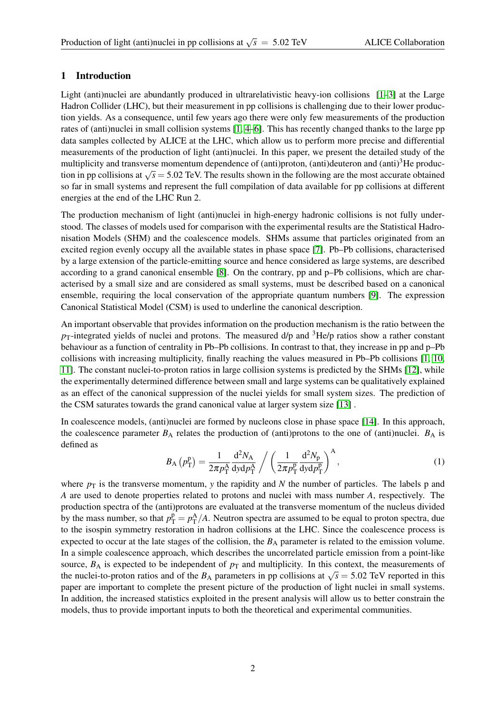## 1 Introduction

Light (anti)nuclei are abundantly produced in ultrarelativistic heavy-ion collisions [\[1–](#page-11-0)[3\]](#page-11-1) at the Large Hadron Collider (LHC), but their measurement in pp collisions is challenging due to their lower production yields. As a consequence, until few years ago there were only few measurements of the production rates of (anti)nuclei in small collision systems [\[1,](#page-11-0) [4–](#page-11-2)[6\]](#page-11-3). This has recently changed thanks to the large pp data samples collected by ALICE at the LHC, which allow us to perform more precise and differential measurements of the production of light (anti)nuclei. In this paper, we present the detailed study of the multiplicity and transverse momentum dependence of (anti)proton, (anti)deuteron and (anti) ${}^{3}$ He production in pp collisions at  $\sqrt{s}$  = 5.02 TeV. The results shown in the following are the most accurate obtained so far in small systems and represent the full compilation of data available for pp collisions at different energies at the end of the LHC Run 2.

The production mechanism of light (anti)nuclei in high-energy hadronic collisions is not fully understood. The classes of models used for comparison with the experimental results are the Statistical Hadronisation Models (SHM) and the coalescence models. SHMs assume that particles originated from an excited region evenly occupy all the available states in phase space [\[7\]](#page-11-4). Pb–Pb collisions, characterised by a large extension of the particle-emitting source and hence considered as large systems, are described according to a grand canonical ensemble [\[8\]](#page-11-5). On the contrary, pp and p–Pb collisions, which are characterised by a small size and are considered as small systems, must be described based on a canonical ensemble, requiring the local conservation of the appropriate quantum numbers [\[9\]](#page-11-6). The expression Canonical Statistical Model (CSM) is used to underline the canonical description.

An important observable that provides information on the production mechanism is the ratio between the  $p_T$ -integrated yields of nuclei and protons. The measured d/p and <sup>3</sup>He/p ratios show a rather constant behaviour as a function of centrality in Pb–Pb collisions. In contrast to that, they increase in pp and p–Pb collisions with increasing multiplicity, finally reaching the values measured in Pb–Pb collisions [\[1,](#page-11-0) [10,](#page-11-7) [11\]](#page-11-8). The constant nuclei-to-proton ratios in large collision systems is predicted by the SHMs [\[12\]](#page-11-9), while the experimentally determined difference between small and large systems can be qualitatively explained as an effect of the canonical suppression of the nuclei yields for small system sizes. The prediction of the CSM saturates towards the grand canonical value at larger system size [\[13\]](#page-11-10) .

In coalescence models, (anti)nuclei are formed by nucleons close in phase space [\[14\]](#page-12-0). In this approach, the coalescence parameter  $B_A$  relates the production of (anti)protons to the one of (anti)nuclei.  $B_A$  is defined as

<span id="page-1-0"></span>
$$
B_{\rm A}\left(p_{\rm T}^{\rm p}\right) = \frac{1}{2\pi p_{\rm T}^{\rm A}} \frac{\mathrm{d}^2 N_{\rm A}}{\mathrm{d}y \mathrm{d}p_{\rm T}^{\rm A}} \left/ \left(\frac{1}{2\pi p_{\rm T}^{\rm p}} \frac{\mathrm{d}^2 N_{\rm p}}{\mathrm{d}y \mathrm{d}p_{\rm T}^{\rm p}}\right)^{\rm A},\right.\tag{1}
$$

where  $p_T$  is the transverse momentum, *y* the rapidity and *N* the number of particles. The labels p and *A* are used to denote properties related to protons and nuclei with mass number *A*, respectively. The production spectra of the (anti)protons are evaluated at the transverse momentum of the nucleus divided by the mass number, so that  $p_T^{\rm p} = p_T^{\rm A}/A$ . Neutron spectra are assumed to be equal to proton spectra, due to the isospin symmetry restoration in hadron collisions at the LHC. Since the coalescence process is expected to occur at the late stages of the collision, the  $B_A$  parameter is related to the emission volume. In a simple coalescence approach, which describes the uncorrelated particle emission from a point-like source,  $B_A$  is expected to be independent of  $p_T$  and multiplicity. In this context, the measurements of the nuclei-to-proton ratios and of the  $B_A$  parameters in pp collisions at  $\sqrt{s} = 5.02$  TeV reported in this paper are important to complete the present picture of the production of light nuclei in small systems. In addition, the increased statistics exploited in the present analysis will allow us to better constrain the models, thus to provide important inputs to both the theoretical and experimental communities.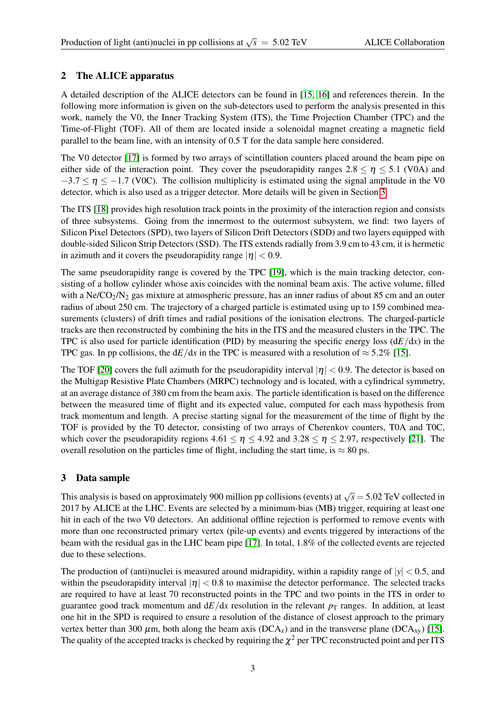## 2 The ALICE apparatus

A detailed description of the ALICE detectors can be found in [\[15,](#page-12-1) [16\]](#page-12-2) and references therein. In the following more information is given on the sub-detectors used to perform the analysis presented in this work, namely the V0, the Inner Tracking System (ITS), the Time Projection Chamber (TPC) and the Time-of-Flight (TOF). All of them are located inside a solenoidal magnet creating a magnetic field parallel to the beam line, with an intensity of 0.5 T for the data sample here considered.

The V0 detector [\[17\]](#page-12-3) is formed by two arrays of scintillation counters placed around the beam pipe on either side of the interaction point. They cover the pseudorapidity ranges  $2.8 \le \eta \le 5.1$  (VOA) and  $-3.7 < \eta < -1.7$  (VOC). The collision multiplicity is estimated using the signal amplitude in the VO detector, which is also used as a trigger detector. More details will be given in Section [3.](#page-2-0)

The ITS [\[18\]](#page-12-4) provides high resolution track points in the proximity of the interaction region and consists of three subsystems. Going from the innermost to the outermost subsystem, we find: two layers of Silicon Pixel Detectors (SPD), two layers of Silicon Drift Detectors (SDD) and two layers equipped with double-sided Silicon Strip Detectors (SSD). The ITS extends radially from 3.9 cm to 43 cm, it is hermetic in azimuth and it covers the pseudorapidity range  $|\eta| < 0.9$ .

The same pseudorapidity range is covered by the TPC [\[19\]](#page-12-5), which is the main tracking detector, consisting of a hollow cylinder whose axis coincides with the nominal beam axis. The active volume, filled with a Ne/CO<sub>2</sub>/N<sub>2</sub> gas mixture at atmospheric pressure, has an inner radius of about 85 cm and an outer radius of about 250 cm. The trajectory of a charged particle is estimated using up to 159 combined measurements (clusters) of drift times and radial positions of the ionisation electrons. The charged-particle tracks are then reconstructed by combining the hits in the ITS and the measured clusters in the TPC. The TPC is also used for particle identification (PID) by measuring the specific energy loss  $(dE/dx)$  in the TPC gas. In pp collisions, the  $dE/dx$  in the TPC is measured with a resolution of  $\approx$  5.2% [\[15\]](#page-12-1).

The TOF [\[20\]](#page-12-6) covers the full azimuth for the pseudorapidity interval  $|\eta| < 0.9$ . The detector is based on the Multigap Resistive Plate Chambers (MRPC) technology and is located, with a cylindrical symmetry, at an average distance of 380 cm from the beam axis. The particle identification is based on the difference between the measured time of flight and its expected value, computed for each mass hypothesis from track momentum and length. A precise starting signal for the measurement of the time of flight by the TOF is provided by the T0 detector, consisting of two arrays of Cherenkov counters, T0A and T0C, which cover the pseudorapidity regions  $4.61 \le \eta \le 4.92$  and  $3.28 \le \eta \le 2.97$ , respectively [\[21\]](#page-12-7). The overall resolution on the particles time of flight, including the start time, is  $\approx 80$  ps.

## <span id="page-2-0"></span>3 Data sample

This analysis is based on approximately 900 million pp collisions (events) at  $\sqrt{s} = 5.02$  TeV collected in 2017 by ALICE at the LHC. Events are selected by a minimum-bias (MB) trigger, requiring at least one hit in each of the two V0 detectors. An additional offline rejection is performed to remove events with more than one reconstructed primary vertex (pile-up events) and events triggered by interactions of the beam with the residual gas in the LHC beam pipe [\[17\]](#page-12-3). In total, 1.8% of the collected events are rejected due to these selections.

The production of (anti)nuclei is measured around midrapidity, within a rapidity range of  $|y| < 0.5$ , and within the pseudorapidity interval  $|\eta| < 0.8$  to maximise the detector performance. The selected tracks are required to have at least 70 reconstructed points in the TPC and two points in the ITS in order to guarantee good track momentum and  $dE/dx$  resolution in the relevant  $p<sub>T</sub>$  ranges. In addition, at least one hit in the SPD is required to ensure a resolution of the distance of closest approach to the primary vertex better than 300  $\mu$ m, both along the beam axis (DCA<sub>z</sub>) and in the transverse plane (DCA<sub>xy</sub>) [\[15\]](#page-12-1). The quality of the accepted tracks is checked by requiring the  $\chi^2$  per TPC reconstructed point and per ITS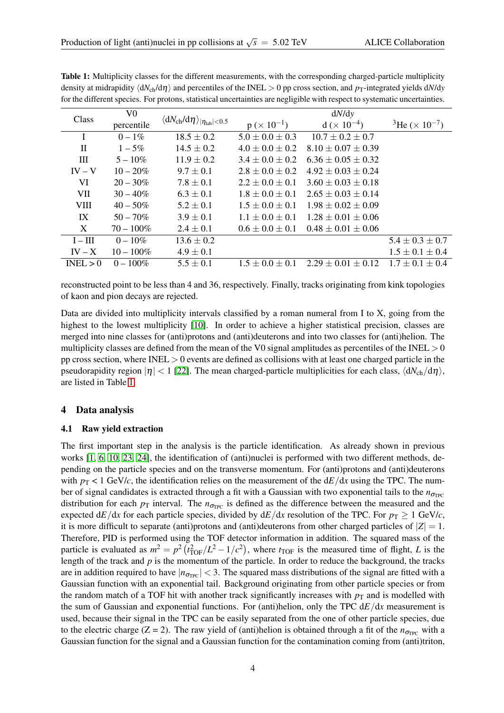| Class        | V <sub>0</sub> |                                                                                                 | dN/dy                 |                          |                               |  |  |
|--------------|----------------|-------------------------------------------------------------------------------------------------|-----------------------|--------------------------|-------------------------------|--|--|
|              | percentile     | $\langle \mathrm{d} N_{\mathrm{ch}} / \mathrm{d} \eta \, \rangle_{ \eta_{\mathrm{lab}}  < 0.5}$ | $p \times 10^{-1}$    | $d \times 10^{-4}$       | $3\text{He} \times 10^{-7}$ ) |  |  |
|              | $0 - 1\%$      | $18.5 \pm 0.2$                                                                                  | $5.0 \pm 0.0 \pm 0.3$ | $10.7 \pm 0.2 \pm 0.7$   |                               |  |  |
| $\mathbf{I}$ | $1 - 5\%$      | $14.5 \pm 0.2$                                                                                  | $4.0 \pm 0.0 \pm 0.2$ | $8.10 \pm 0.07 \pm 0.39$ |                               |  |  |
| Ш            | $5 - 10\%$     | $11.9 \pm 0.2$                                                                                  | $3.4 \pm 0.0 \pm 0.2$ | $6.36 \pm 0.05 \pm 0.32$ |                               |  |  |
| $IV - V$     | $10 - 20\%$    | $9.7 \pm 0.1$                                                                                   | $2.8 \pm 0.0 \pm 0.2$ | $4.92 \pm 0.03 \pm 0.24$ |                               |  |  |
| VI           | $20 - 30\%$    | $7.8 \pm 0.1$                                                                                   | $2.2 \pm 0.0 \pm 0.1$ | $3.60 \pm 0.03 \pm 0.18$ |                               |  |  |
| VII          | $30 - 40\%$    | $6.3 \pm 0.1$                                                                                   | $1.8 \pm 0.0 \pm 0.1$ | $2.65 \pm 0.03 \pm 0.14$ |                               |  |  |
| <b>VIII</b>  | $40 - 50\%$    | $5.2 \pm 0.1$                                                                                   | $1.5 \pm 0.0 \pm 0.1$ | $1.98 \pm 0.02 \pm 0.09$ |                               |  |  |
| IX           | $50 - 70\%$    | $3.9 \pm 0.1$                                                                                   | $1.1 \pm 0.0 \pm 0.1$ | $1.28 \pm 0.01 \pm 0.06$ |                               |  |  |
| X            | $70 - 100\%$   | $2.4 \pm 0.1$                                                                                   | $0.6 \pm 0.0 \pm 0.1$ | $0.48 \pm 0.01 \pm 0.06$ |                               |  |  |
| $I - III$    | $0 - 10\%$     | $13.6 \pm 0.2$                                                                                  |                       |                          | $5.4 \pm 0.3 \pm 0.7$         |  |  |
| $IV - X$     | $10 - 100\%$   | $4.9 \pm 0.1$                                                                                   |                       |                          | $1.5 \pm 0.1 \pm 0.4$         |  |  |
| INEL > 0     | $0 - 100\%$    | $5.5 \pm 0.1$                                                                                   | $1.5 \pm 0.0 \pm 0.1$ | $2.29 \pm 0.01 \pm 0.12$ | $1.7 \pm 0.1 \pm 0.4$         |  |  |

<span id="page-3-0"></span>Table 1: Multiplicity classes for the different measurements, with the corresponding charged-particle multiplicity density at midrapidity  $\langle dN_{ch}/d\eta \rangle$  and percentiles of the INEL > 0 pp cross section, and  $p_T$ -integrated yields d*N*/dy for the different species. For protons, statistical uncertainties are negligible with respect to systematic uncertainties.

reconstructed point to be less than 4 and 36, respectively. Finally, tracks originating from kink topologies of kaon and pion decays are rejected.

Data are divided into multiplicity intervals classified by a roman numeral from I to X, going from the highest to the lowest multiplicity [\[10\]](#page-11-7). In order to achieve a higher statistical precision, classes are merged into nine classes for (anti)protons and (anti)deuterons and into two classes for (anti)helion. The multiplicity classes are defined from the mean of the V0 signal amplitudes as percentiles of the INEL  $> 0$ pp cross section, where  $INEL > 0$  events are defined as collisions with at least one charged particle in the pseudorapidity region  $|\eta| < 1$  [\[22\]](#page-12-8). The mean charged-particle multiplicities for each class,  $\langle dN_{ch}/d\eta \rangle$ , are listed in Table [1.](#page-3-0)

#### 4 Data analysis

#### 4.1 Raw yield extraction

The first important step in the analysis is the particle identification. As already shown in previous works [\[1,](#page-11-0) [6,](#page-11-3) [10,](#page-11-7) [23,](#page-12-9) [24\]](#page-12-10), the identification of (anti)nuclei is performed with two different methods, depending on the particle species and on the transverse momentum. For (anti)protons and (anti)deuterons with  $p_T < 1$  GeV/*c*, the identification relies on the measurement of the  $dE/dx$  using the TPC. The number of signal candidates is extracted through a fit with a Gaussian with two exponential tails to the  $n_{\sigma_{TPC}}$ distribution for each  $p_T$  interval. The  $n_{\sigma_{\text{TPC}}}$  is defined as the difference between the measured and the expected  $dE/dx$  for each particle species, divided by  $dE/dx$  resolution of the TPC. For  $p<sub>T</sub> \ge 1$  GeV/*c*, it is more difficult to separate (anti)protons and (anti)deuterons from other charged particles of  $|Z| = 1$ . Therefore, PID is performed using the TOF detector information in addition. The squared mass of the particle is evaluated as  $m^2 = p^2 (t_{\text{TOF}}^2/L^2 - 1/c^2)$ , where  $t_{\text{TOF}}$  is the measured time of flight, *L* is the length of the track and *p* is the momentum of the particle. In order to reduce the background, the tracks are in addition required to have  $|n_{\sigma_{\text{TPC}}}| < 3$ . The squared mass distributions of the signal are fitted with a Gaussian function with an exponential tail. Background originating from other particle species or from the random match of a TOF hit with another track significantly increases with  $p<sub>T</sub>$  and is modelled with the sum of Gaussian and exponential functions. For (anti)helion, only the TPC d*E*/d*x* measurement is used, because their signal in the TPC can be easily separated from the one of other particle species, due to the electric charge (Z = 2). The raw yield of (anti)helion is obtained through a fit of the  $n_{\sigma_{TPC}}$  with a Gaussian function for the signal and a Gaussian function for the contamination coming from (anti)triton,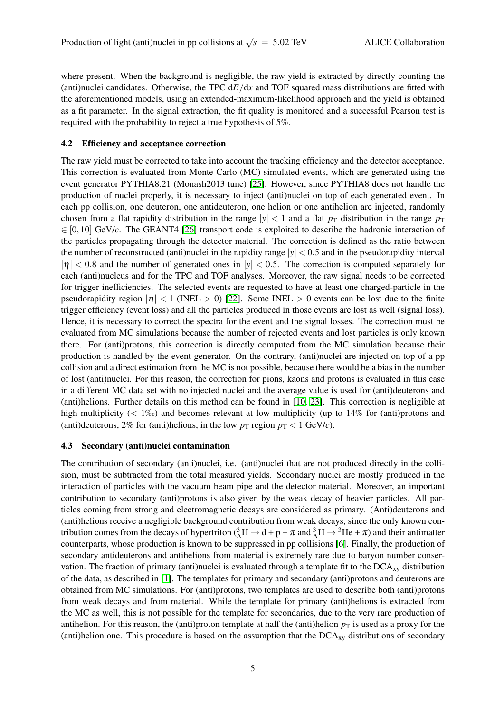where present. When the background is negligible, the raw yield is extracted by directly counting the (anti)nuclei candidates. Otherwise, the TPC d*E*/d*x* and TOF squared mass distributions are fitted with the aforementioned models, using an extended-maximum-likelihood approach and the yield is obtained as a fit parameter. In the signal extraction, the fit quality is monitored and a successful Pearson test is required with the probability to reject a true hypothesis of 5%.

#### <span id="page-4-0"></span>4.2 Efficiency and acceptance correction

The raw yield must be corrected to take into account the tracking efficiency and the detector acceptance. This correction is evaluated from Monte Carlo (MC) simulated events, which are generated using the event generator PYTHIA8.21 (Monash2013 tune) [\[25\]](#page-12-11). However, since PYTHIA8 does not handle the production of nuclei properly, it is necessary to inject (anti)nuclei on top of each generated event. In each pp collision, one deuteron, one antideuteron, one helion or one antihelion are injected, randomly chosen from a flat rapidity distribution in the range  $|y| < 1$  and a flat  $p<sub>T</sub>$  distribution in the range  $p<sub>T</sub>$ ∈ [0,10] GeV/*c*. The GEANT4 [\[26\]](#page-12-12) transport code is exploited to describe the hadronic interaction of the particles propagating through the detector material. The correction is defined as the ratio between the number of reconstructed (anti)nuclei in the rapidity range  $|y| < 0.5$  and in the pseudorapidity interval  $|\eta| < 0.8$  and the number of generated ones in  $|\gamma| < 0.5$ . The correction is computed separately for each (anti)nucleus and for the TPC and TOF analyses. Moreover, the raw signal needs to be corrected for trigger inefficiencies. The selected events are requested to have at least one charged-particle in the pseudorapidity region  $|\eta| < 1$  (INEL  $> 0$ ) [\[22\]](#page-12-8). Some INEL  $> 0$  events can be lost due to the finite trigger efficiency (event loss) and all the particles produced in those events are lost as well (signal loss). Hence, it is necessary to correct the spectra for the event and the signal losses. The correction must be evaluated from MC simulations because the number of rejected events and lost particles is only known there. For (anti)protons, this correction is directly computed from the MC simulation because their production is handled by the event generator. On the contrary, (anti)nuclei are injected on top of a pp collision and a direct estimation from the MC is not possible, because there would be a bias in the number of lost (anti)nuclei. For this reason, the correction for pions, kaons and protons is evaluated in this case in a different MC data set with no injected nuclei and the average value is used for (anti)deuterons and (anti)helions. Further details on this method can be found in [\[10,](#page-11-7) [23\]](#page-12-9). This correction is negligible at high multiplicity ( $\lt 1\%$ ) and becomes relevant at low multiplicity (up to  $14\%$  for (anti)protons and (anti)deuterons, 2% for (anti)helions, in the low  $p_T$  region  $p_T < 1$  GeV/*c*).

#### 4.3 Secondary (anti)nuclei contamination

The contribution of secondary (anti)nuclei, i.e. (anti)nuclei that are not produced directly in the collision, must be subtracted from the total measured yields. Secondary nuclei are mostly produced in the interaction of particles with the vacuum beam pipe and the detector material. Moreover, an important contribution to secondary (anti)protons is also given by the weak decay of heavier particles. All particles coming from strong and electromagnetic decays are considered as primary. (Anti)deuterons and (anti)helions receive a negligible background contribution from weak decays, since the only known contribution comes from the decays of hypertriton  $({}^3_\Lambda H \to d + p + \pi$  and  ${}^3_\Lambda H \to {}^3He + \pi)$  and their antimatter counterparts, whose production is known to be suppressed in pp collisions [\[6\]](#page-11-3). Finally, the production of secondary antideuterons and antihelions from material is extremely rare due to baryon number conservation. The fraction of primary (anti)nuclei is evaluated through a template fit to the  $DCA_{xy}$  distribution of the data, as described in [\[1\]](#page-11-0). The templates for primary and secondary (anti)protons and deuterons are obtained from MC simulations. For (anti)protons, two templates are used to describe both (anti)protons from weak decays and from material. While the template for primary (anti)helions is extracted from the MC as well, this is not possible for the template for secondaries, due to the very rare production of antihelion. For this reason, the (anti)proton template at half the (anti)helion  $p<sub>T</sub>$  is used as a proxy for the (anti)helion one. This procedure is based on the assumption that the  $DCA_{xy}$  distributions of secondary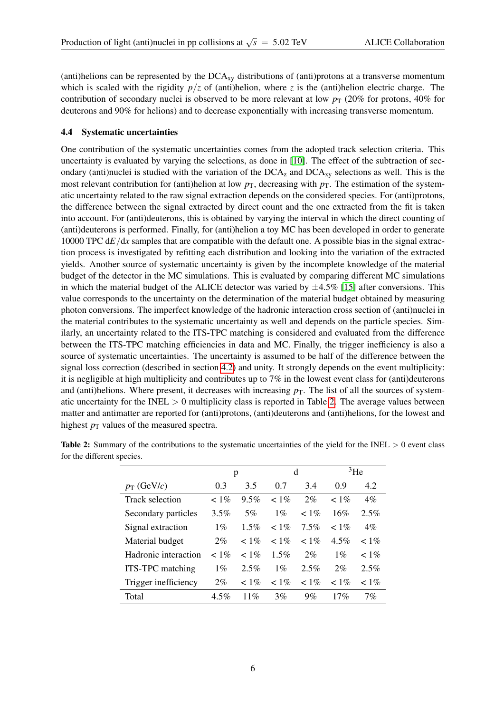(anti)helions can be represented by the  $DCA_{xy}$  distributions of (anti)protons at a transverse momentum which is scaled with the rigidity  $p/z$  of (anti)helion, where *z* is the (anti)helion electric charge. The contribution of secondary nuclei is observed to be more relevant at low  $p_T$  (20% for protons, 40% for deuterons and 90% for helions) and to decrease exponentially with increasing transverse momentum.

#### 4.4 Systematic uncertainties

One contribution of the systematic uncertainties comes from the adopted track selection criteria. This uncertainty is evaluated by varying the selections, as done in [\[10\]](#page-11-7). The effect of the subtraction of secondary (anti)nuclei is studied with the variation of the  $DCA<sub>x</sub>$  and  $DCA<sub>xy</sub>$  selections as well. This is the most relevant contribution for (anti)helion at low  $p<sub>T</sub>$ , decreasing with  $p<sub>T</sub>$ . The estimation of the systematic uncertainty related to the raw signal extraction depends on the considered species. For (anti)protons, the difference between the signal extracted by direct count and the one extracted from the fit is taken into account. For (anti)deuterons, this is obtained by varying the interval in which the direct counting of (anti)deuterons is performed. Finally, for (anti)helion a toy MC has been developed in order to generate 10000 TPC d*E*/d*x* samples that are compatible with the default one. A possible bias in the signal extraction process is investigated by refitting each distribution and looking into the variation of the extracted yields. Another source of systematic uncertainty is given by the incomplete knowledge of the material budget of the detector in the MC simulations. This is evaluated by comparing different MC simulations in which the material budget of the ALICE detector was varied by  $\pm 4.5\%$  [\[15\]](#page-12-1) after conversions. This value corresponds to the uncertainty on the determination of the material budget obtained by measuring photon conversions. The imperfect knowledge of the hadronic interaction cross section of (anti)nuclei in the material contributes to the systematic uncertainty as well and depends on the particle species. Similarly, an uncertainty related to the ITS-TPC matching is considered and evaluated from the difference between the ITS-TPC matching efficiencies in data and MC. Finally, the trigger inefficiency is also a source of systematic uncertainties. The uncertainty is assumed to be half of the difference between the signal loss correction (described in section [4.2\)](#page-4-0) and unity. It strongly depends on the event multiplicity: it is negligible at high multiplicity and contributes up to  $7\%$  in the lowest event class for (anti)deuterons and (anti)helions. Where present, it decreases with increasing  $p<sub>T</sub>$ . The list of all the sources of systematic uncertainty for the INEL > 0 multiplicity class is reported in Table [2.](#page-5-0) The average values between matter and antimatter are reported for (anti)protons, (anti)deuterons and (anti)helions, for the lowest and highest  $p<sub>T</sub>$  values of the measured spectra.

|                      | p       |         | d       |         | 3He     |         |
|----------------------|---------|---------|---------|---------|---------|---------|
| $p_T$ (GeV/c)        | 0.3     | 3.5     | 0.7     | 3.4     | 0.9     | 4.2     |
| Track selection      | $< 1\%$ | $9.5\%$ | $< 1\%$ | 2%      | $< 1\%$ | $4\%$   |
| Secondary particles  | 3.5%    | 5%      | $1\%$   | $< 1\%$ | 16%     | 2.5%    |
| Signal extraction    | $1\%$   | $1.5\%$ | $< 1\%$ | $7.5\%$ | $< 1\%$ | $4\%$   |
| Material budget      | 2%      | $< 1\%$ | $< 1\%$ | $< 1\%$ | $4.5\%$ | $< 1\%$ |
| Hadronic interaction | $< 1\%$ | $< 1\%$ | $1.5\%$ | 2%      | $1\%$   | $< 1\%$ |
| ITS-TPC matching     | $1\%$   | 2.5%    | $1\%$   | 2.5%    | 2%      | 2.5%    |
| Trigger inefficiency | 2%      | $< 1\%$ | $< 1\%$ | $< 1\%$ | $< 1\%$ | $< 1\%$ |
| Total                | $4.5\%$ | 11%     | 3%      | 9%      | 17%     | $7\%$   |

<span id="page-5-0"></span>**Table 2:** Summary of the contributions to the systematic uncertainties of the yield for the INEL  $> 0$  event class for the different species.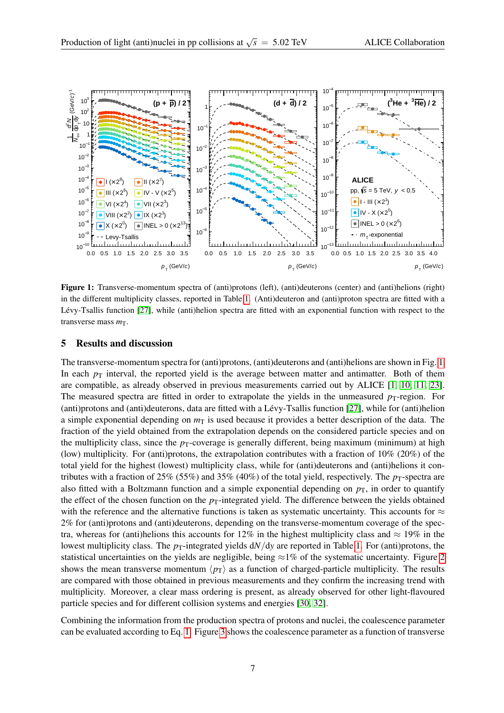

<span id="page-6-0"></span>Figure 1: Transverse-momentum spectra of (anti)protons (left), (anti)deuterons (center) and (anti)helions (right) in the different multiplicity classes, reported in Table [1.](#page-3-0) (Anti)deuteron and (anti)proton spectra are fitted with a Lévy-Tsallis function [\[27\]](#page-12-13), while (anti)helion spectra are fitted with an exponential function with respect to the transverse mass  $m<sub>T</sub>$ .

#### 5 Results and discussion

The transverse-momentum spectra for (anti)protons, (anti)deuterons and (anti)helions are shown in Fig. [1.](#page-6-0) In each  $p<sub>T</sub>$  interval, the reported yield is the average between matter and antimatter. Both of them are compatible, as already observed in previous measurements carried out by ALICE [\[1,](#page-11-0) [10,](#page-11-7) [11,](#page-11-8) [23\]](#page-12-9). The measured spectra are fitted in order to extrapolate the yields in the unmeasured  $p_T$ -region. For (anti)protons and (anti)deuterons, data are fitted with a Lévy-Tsallis function [\[27\]](#page-12-13), while for (anti)helion a simple exponential depending on  $m<sub>T</sub>$  is used because it provides a better description of the data. The fraction of the yield obtained from the extrapolation depends on the considered particle species and on the multiplicity class, since the  $p<sub>T</sub>$ -coverage is generally different, being maximum (minimum) at high (low) multiplicity. For (anti)protons, the extrapolation contributes with a fraction of 10% (20%) of the total yield for the highest (lowest) multiplicity class, while for (anti)deuterons and (anti)helions it contributes with a fraction of 25% (55%) and 35% (40%) of the total yield, respectively. The  $p_T$ -spectra are also fitted with a Boltzmann function and a simple exponential depending on  $p<sub>T</sub>$ , in order to quantify the effect of the chosen function on the  $p<sub>T</sub>$ -integrated yield. The difference between the yields obtained with the reference and the alternative functions is taken as systematic uncertainty. This accounts for  $\approx$ 2% for (anti)protons and (anti)deuterons, depending on the transverse-momentum coverage of the spectra, whereas for (anti)helions this accounts for 12% in the highest multiplicity class and  $\approx 19\%$  in the lowest multiplicity class. The  $p_T$ -integrated yields  $dN/dy$  are reported in Table [1.](#page-3-0) For (anti)protons, the statistical uncertainties on the yields are negligible, being  $\approx 1\%$  of the systematic uncertainty. Figure [2](#page-7-0) shows the mean transverse momentum  $\langle p_T \rangle$  as a function of charged-particle multiplicity. The results are compared with those obtained in previous measurements and they confirm the increasing trend with multiplicity. Moreover, a clear mass ordering is present, as already observed for other light-flavoured particle species and for different collision systems and energies [\[30,](#page-12-14) [32\]](#page-13-0).

Combining the information from the production spectra of protons and nuclei, the coalescence parameter can be evaluated according to Eq. [1.](#page-1-0) Figure [3](#page-8-0) shows the coalescence parameter as a function of transverse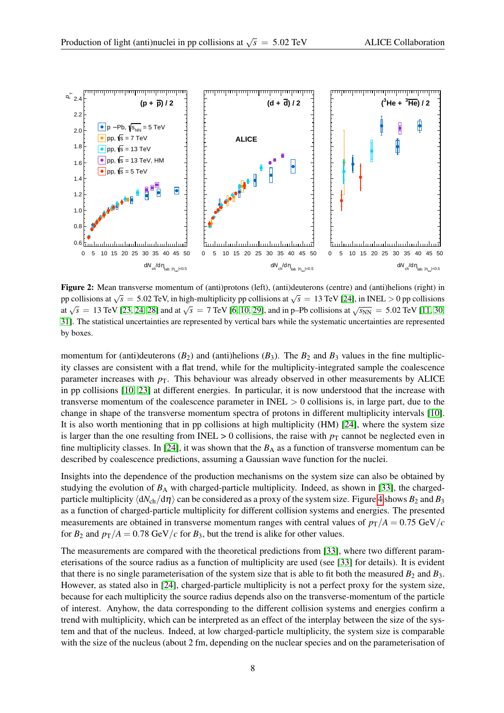

<span id="page-7-0"></span>Figure 2: Mean transverse momentum of (anti)protons (left), (anti)deuterons (centre) and (anti)helions (right) in pp collisions at  $\sqrt{s} = 5.02$  TeV, in high-multiplicity pp collisions at  $\sqrt{s} = 13$  TeV [\[24\]](#page-12-10), in INEL > 0 pp collisions at  $\sqrt{s}$  = 13 TeV [\[23,](#page-12-9) [24,](#page-12-10) [28\]](#page-12-15) and at  $\sqrt{s}$  = 7 TeV [\[6,](#page-11-3) [10,](#page-11-7) [29\]](#page-12-16), and in p–Pb collisions at  $\sqrt{s_{NN}}$  = 5.02 TeV [\[11,](#page-11-8) [30,](#page-12-14) [31\]](#page-13-1). The statistical uncertainties are represented by vertical bars while the systematic uncertainties are represented by boxes.

momentum for (anti)deuterons  $(B_2)$  and (anti)helions  $(B_3)$ . The  $B_2$  and  $B_3$  values in the fine multiplicity classes are consistent with a flat trend, while for the multiplicity-integrated sample the coalescence parameter increases with  $p<sub>T</sub>$ . This behaviour was already observed in other measurements by ALICE in pp collisions [\[10,](#page-11-7) [23\]](#page-12-9) at different energies. In particular, it is now understood that the increase with transverse momentum of the coalescence parameter in INEL  $> 0$  collisions is, in large part, due to the change in shape of the transverse momentum spectra of protons in different multiplicity intervals [\[10\]](#page-11-7). It is also worth mentioning that in pp collisions at high multiplicity (HM) [\[24\]](#page-12-10), where the system size is larger than the one resulting from INEL  $> 0$  collisions, the raise with  $p<sub>T</sub>$  cannot be neglected even in fine multiplicity classes. In [\[24\]](#page-12-10), it was shown that the  $B_A$  as a function of transverse momentum can be described by coalescence predictions, assuming a Gaussian wave function for the nuclei.

Insights into the dependence of the production mechanisms on the system size can also be obtained by studying the evolution of  $B_A$  with charged-particle multiplicity. Indeed, as shown in [\[33\]](#page-13-2), the chargedparticle multiplicity  $\langle dN_{ch}/d\eta \rangle$  can be considered as a proxy of the system size. Figure [4](#page-8-1) shows  $B_2$  and  $B_3$ as a function of charged-particle multiplicity for different collision systems and energies. The presented measurements are obtained in transverse momentum ranges with central values of  $p_T/A = 0.75$  GeV/ $c$ for  $B_2$  and  $p_T/A = 0.78$  GeV/*c* for  $B_3$ , but the trend is alike for other values.

The measurements are compared with the theoretical predictions from [\[33\]](#page-13-2), where two different parameterisations of the source radius as a function of multiplicity are used (see [\[33\]](#page-13-2) for details). It is evident that there is no single parameterisation of the system size that is able to fit both the measured  $B_2$  and  $B_3$ . However, as stated also in [\[24\]](#page-12-10), charged-particle multiplicity is not a perfect proxy for the system size, because for each multiplicity the source radius depends also on the transverse-momentum of the particle of interest. Anyhow, the data corresponding to the different collision systems and energies confirm a trend with multiplicity, which can be interpreted as an effect of the interplay between the size of the system and that of the nucleus. Indeed, at low charged-particle multiplicity, the system size is comparable with the size of the nucleus (about 2 fm, depending on the nuclear species and on the parameterisation of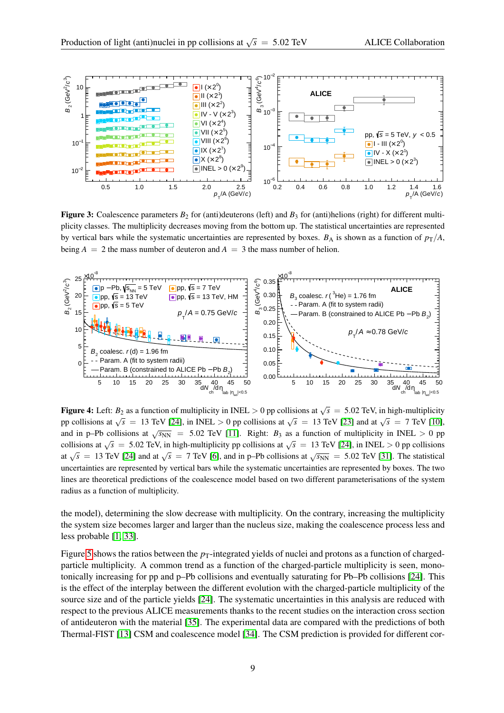

<span id="page-8-0"></span>**Figure 3:** Coalescence parameters  $B_2$  for (anti)deuterons (left) and  $B_3$  for (anti)helions (right) for different multiplicity classes. The multiplicity decreases moving from the bottom up. The statistical uncertainties are represented by vertical bars while the systematic uncertainties are represented by boxes.  $B_A$  is shown as a function of  $p_T/A$ , being  $A = 2$  the mass number of deuteron and  $A = 3$  the mass number of helion.



<span id="page-8-1"></span>**Figure 4:** Left:  $B_2$  as a function of multiplicity in INEL > 0 pp collisions at  $\sqrt{s} = 5.02$  TeV, in high-multiplicity pp collisions at  $\sqrt{s}$  = 13 TeV [\[24\]](#page-12-10), in INEL > 0 pp collisions at  $\sqrt{s}$  = 13 TeV [\[23\]](#page-12-9) and at  $\sqrt{s}$  = 7 TeV [\[10\]](#page-11-7), and in p–Pb collisions at  $\sqrt{s_{NN}}$  = 5.02 TeV [\[11\]](#page-11-8). Right: *B*<sub>3</sub> as a function of multiplicity in INEL > 0 pp collisions at  $\sqrt{s}$  = 5.02 TeV, in high-multiplicity pp collisions at  $\sqrt{s}$  = 13 TeV [\[24\]](#page-12-10), in INEL > 0 pp collisions at  $\sqrt{s}$  = 13 TeV [\[24\]](#page-12-10) and at  $\sqrt{s}$  = 7 TeV [\[6\]](#page-11-3), and in p–Pb collisions at  $\sqrt{s_{NN}}$  = 5.02 TeV [\[31\]](#page-13-1). The statistical uncertainties are represented by vertical bars while the systematic uncertainties are represented by boxes. The two lines are theoretical predictions of the coalescence model based on two different parameterisations of the system radius as a function of multiplicity.

the model), determining the slow decrease with multiplicity. On the contrary, increasing the multiplicity the system size becomes larger and larger than the nucleus size, making the coalescence process less and less probable [\[1,](#page-11-0) [33\]](#page-13-2).

Figure [5](#page-9-0) shows the ratios between the  $p<sub>T</sub>$ -integrated yields of nuclei and protons as a function of chargedparticle multiplicity. A common trend as a function of the charged-particle multiplicity is seen, monotonically increasing for pp and p–Pb collisions and eventually saturating for Pb–Pb collisions [\[24\]](#page-12-10). This is the effect of the interplay between the different evolution with the charged-particle multiplicity of the source size and of the particle yields [\[24\]](#page-12-10). The systematic uncertainties in this analysis are reduced with respect to the previous ALICE measurements thanks to the recent studies on the interaction cross section of antideuteron with the material [\[35\]](#page-13-3). The experimental data are compared with the predictions of both Thermal-FIST [\[13\]](#page-11-10) CSM and coalescence model [\[34\]](#page-13-4). The CSM prediction is provided for different cor-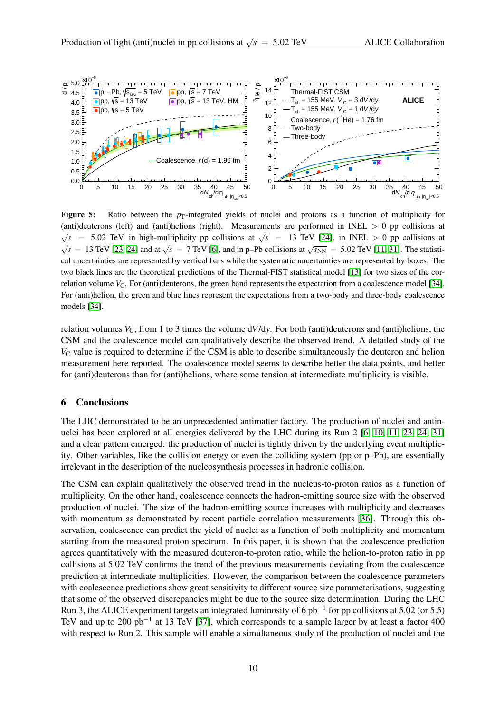

<span id="page-9-0"></span>**Figure 5:** Ratio between the  $p<sub>T</sub>$ -integrated yields of nuclei and protons as a function of multiplicity for (anti)deuterons (left) and (anti)helions (right). Measurements are performed in INEL > 0 pp collisions at  $\sqrt{s}$  = 5.02 TeV, in high-multiplicity pp collisions at  $\sqrt{s}$  = 13 TeV [\[24\]](#page-12-10), in INEL > 0 pp collisions at  $\sqrt{s}$  = 12 TeV [24], in INEL > 0 pp collisions at  $s = 13$  TeV,  $\frac{1}{s}$  in the statistic multiplierity pp consisted at  $\sqrt{s} = 13$  TeV [24],  $\frac{1}{s}$  in the statistic  $s = 13$  TeV [\[23,](#page-12-9) [24\]](#page-12-10) and at  $\sqrt{s} = 7$  TeV [\[6\]](#page-11-3), and in p–Pb collisions at  $\sqrt{s_{NN}} = 5.02$  TeV [\[11,](#page-11-8) [31\]](#page-13-1). T cal uncertainties are represented by vertical bars while the systematic uncertainties are represented by boxes. The two black lines are the theoretical predictions of the Thermal-FIST statistical model [\[13\]](#page-11-10) for two sizes of the correlation volume *V<sub>C</sub>*. For (anti)deuterons, the green band represents the expectation from a coalescence model [\[34\]](#page-13-4). For (anti)helion, the green and blue lines represent the expectations from a two-body and three-body coalescence models [\[34\]](#page-13-4).

relation volumes  $V_C$ , from 1 to 3 times the volume  $dV/dy$ . For both (anti)deuterons and (anti)helions, the CSM and the coalescence model can qualitatively describe the observed trend. A detailed study of the  $V_{\rm C}$  value is required to determine if the CSM is able to describe simultaneously the deuteron and helion measurement here reported. The coalescence model seems to describe better the data points, and better for (anti)deuterons than for (anti)helions, where some tension at intermediate multiplicity is visible.

## 6 Conclusions

The LHC demonstrated to be an unprecedented antimatter factory. The production of nuclei and antinuclei has been explored at all energies delivered by the LHC during its Run 2 [\[6,](#page-11-3) [10,](#page-11-7) [11,](#page-11-8) [23,](#page-12-9) [24,](#page-12-10) [31\]](#page-13-1) and a clear pattern emerged: the production of nuclei is tightly driven by the underlying event multiplicity. Other variables, like the collision energy or even the colliding system (pp or p–Pb), are essentially irrelevant in the description of the nucleosynthesis processes in hadronic collision.

The CSM can explain qualitatively the observed trend in the nucleus-to-proton ratios as a function of multiplicity. On the other hand, coalescence connects the hadron-emitting source size with the observed production of nuclei. The size of the hadron-emitting source increases with multiplicity and decreases with momentum as demonstrated by recent particle correlation measurements [\[36\]](#page-13-5). Through this observation, coalescence can predict the yield of nuclei as a function of both multiplicity and momentum starting from the measured proton spectrum. In this paper, it is shown that the coalescence prediction agrees quantitatively with the measured deuteron-to-proton ratio, while the helion-to-proton ratio in pp collisions at 5.02 TeV confirms the trend of the previous measurements deviating from the coalescence prediction at intermediate multiplicities. However, the comparison between the coalescence parameters with coalescence predictions show great sensitivity to different source size parameterisations, suggesting that some of the observed discrepancies might be due to the source size determination. During the LHC Run 3, the ALICE experiment targets an integrated luminosity of 6 pb<sup>-1</sup> for pp collisions at 5.02 (or 5.5) TeV and up to 200 pb<sup>-1</sup> at 13 TeV [\[37\]](#page-13-6), which corresponds to a sample larger by at least a factor 400 with respect to Run 2. This sample will enable a simultaneous study of the production of nuclei and the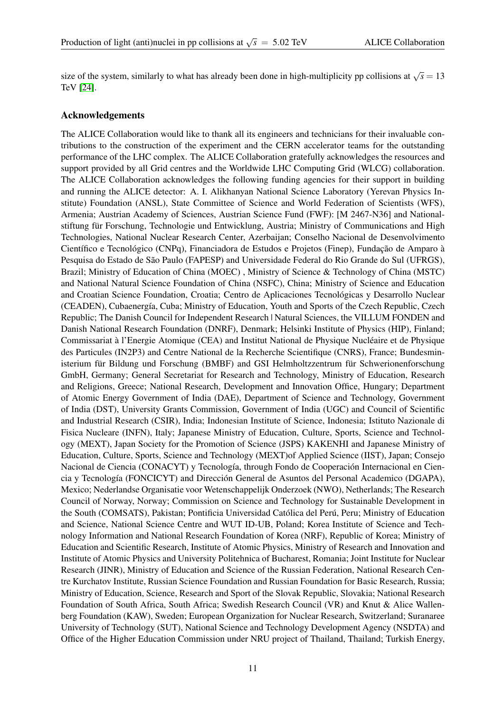size of the system, similarly to what has already been done in high-multiplicity pp collisions at  $\sqrt{s} = 13$ TeV [\[24\]](#page-12-10).

## Acknowledgements

The ALICE Collaboration would like to thank all its engineers and technicians for their invaluable contributions to the construction of the experiment and the CERN accelerator teams for the outstanding performance of the LHC complex. The ALICE Collaboration gratefully acknowledges the resources and support provided by all Grid centres and the Worldwide LHC Computing Grid (WLCG) collaboration. The ALICE Collaboration acknowledges the following funding agencies for their support in building and running the ALICE detector: A. I. Alikhanyan National Science Laboratory (Yerevan Physics Institute) Foundation (ANSL), State Committee of Science and World Federation of Scientists (WFS), Armenia; Austrian Academy of Sciences, Austrian Science Fund (FWF): [M 2467-N36] and Nationalstiftung für Forschung, Technologie und Entwicklung, Austria; Ministry of Communications and High Technologies, National Nuclear Research Center, Azerbaijan; Conselho Nacional de Desenvolvimento Científico e Tecnológico (CNPq), Financiadora de Estudos e Projetos (Finep), Fundação de Amparo à Pesquisa do Estado de São Paulo (FAPESP) and Universidade Federal do Rio Grande do Sul (UFRGS), Brazil; Ministry of Education of China (MOEC) , Ministry of Science & Technology of China (MSTC) and National Natural Science Foundation of China (NSFC), China; Ministry of Science and Education and Croatian Science Foundation, Croatia; Centro de Aplicaciones Tecnológicas y Desarrollo Nuclear (CEADEN), Cubaenergía, Cuba; Ministry of Education, Youth and Sports of the Czech Republic, Czech Republic; The Danish Council for Independent Research | Natural Sciences, the VILLUM FONDEN and Danish National Research Foundation (DNRF), Denmark; Helsinki Institute of Physics (HIP), Finland; Commissariat à l'Energie Atomique (CEA) and Institut National de Physique Nucléaire et de Physique des Particules (IN2P3) and Centre National de la Recherche Scientifique (CNRS), France; Bundesministerium für Bildung und Forschung (BMBF) and GSI Helmholtzzentrum für Schwerionenforschung GmbH, Germany; General Secretariat for Research and Technology, Ministry of Education, Research and Religions, Greece; National Research, Development and Innovation Office, Hungary; Department of Atomic Energy Government of India (DAE), Department of Science and Technology, Government of India (DST), University Grants Commission, Government of India (UGC) and Council of Scientific and Industrial Research (CSIR), India; Indonesian Institute of Science, Indonesia; Istituto Nazionale di Fisica Nucleare (INFN), Italy; Japanese Ministry of Education, Culture, Sports, Science and Technology (MEXT), Japan Society for the Promotion of Science (JSPS) KAKENHI and Japanese Ministry of Education, Culture, Sports, Science and Technology (MEXT)of Applied Science (IIST), Japan; Consejo Nacional de Ciencia (CONACYT) y Tecnología, through Fondo de Cooperación Internacional en Ciencia y Tecnología (FONCICYT) and Dirección General de Asuntos del Personal Academico (DGAPA), Mexico; Nederlandse Organisatie voor Wetenschappelijk Onderzoek (NWO), Netherlands; The Research Council of Norway, Norway; Commission on Science and Technology for Sustainable Development in the South (COMSATS), Pakistan; Pontificia Universidad Católica del Perú, Peru; Ministry of Education and Science, National Science Centre and WUT ID-UB, Poland; Korea Institute of Science and Technology Information and National Research Foundation of Korea (NRF), Republic of Korea; Ministry of Education and Scientific Research, Institute of Atomic Physics, Ministry of Research and Innovation and Institute of Atomic Physics and University Politehnica of Bucharest, Romania; Joint Institute for Nuclear Research (JINR), Ministry of Education and Science of the Russian Federation, National Research Centre Kurchatov Institute, Russian Science Foundation and Russian Foundation for Basic Research, Russia; Ministry of Education, Science, Research and Sport of the Slovak Republic, Slovakia; National Research Foundation of South Africa, South Africa; Swedish Research Council (VR) and Knut & Alice Wallenberg Foundation (KAW), Sweden; European Organization for Nuclear Research, Switzerland; Suranaree University of Technology (SUT), National Science and Technology Development Agency (NSDTA) and Office of the Higher Education Commission under NRU project of Thailand, Thailand; Turkish Energy,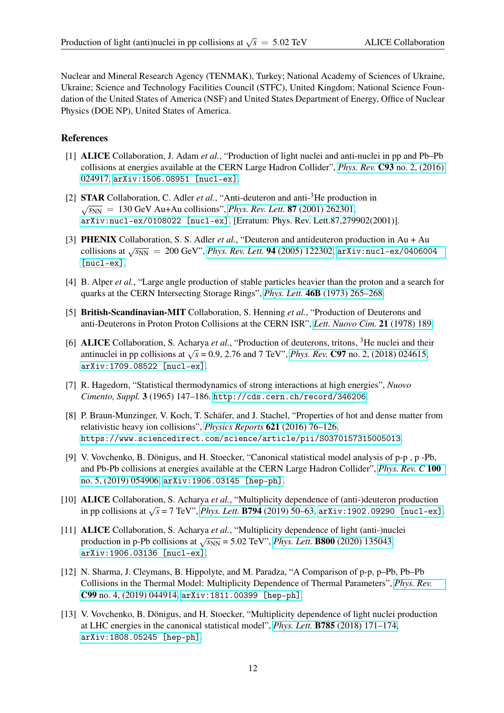Nuclear and Mineral Research Agency (TENMAK), Turkey; National Academy of Sciences of Ukraine, Ukraine; Science and Technology Facilities Council (STFC), United Kingdom; National Science Foundation of the United States of America (NSF) and United States Department of Energy, Office of Nuclear Physics (DOE NP), United States of America.

## References

- <span id="page-11-0"></span>[1] ALICE Collaboration, J. Adam *et al.*, "Production of light nuclei and anti-nuclei in pp and Pb–Pb collisions at energies available at the CERN Large Hadron Collider", *Phys. Rev.* C93 [no. 2, \(2016\)](http://dx.doi.org/10.1103/PhysRevC.93.024917) [024917,](http://dx.doi.org/10.1103/PhysRevC.93.024917) [arXiv:1506.08951 \[nucl-ex\]](http://arxiv.org/abs/1506.08951).
- [2] **STAR** Collaboration, C. Adler *et al.*, "Anti-deuteron and anti-<sup>3</sup>He production in  $\sqrt{s_{NN}}$  = 130 GeV Au+Au collisions", *[Phys. Rev. Lett.](http://dx.doi.org/10.1103/PhysRevLett.87.262301)* 87 (2001) 262301, [arXiv:nucl-ex/0108022 \[nucl-ex\]](http://arxiv.org/abs/nucl-ex/0108022). [Erratum: Phys. Rev. Lett.87,279902(2001)].
- <span id="page-11-1"></span>[3] PHENIX Collaboration, S. S. Adler *et al.*, "Deuteron and antideuteron production in Au + Au collisions at  $\sqrt{s_{NN}}$  = 200 GeV", *[Phys. Rev. Lett.](http://dx.doi.org/10.1103/PhysRevLett.94.122302)* 94 (2005) 122302, [arXiv:nucl-ex/0406004](http://arxiv.org/abs/nucl-ex/0406004) [\[nucl-ex\]](http://arxiv.org/abs/nucl-ex/0406004).
- <span id="page-11-2"></span>[4] B. Alper *et al.*, "Large angle production of stable particles heavier than the proton and a search for quarks at the CERN Intersecting Storage Rings", *Phys. Lett.* 46B [\(1973\) 265–268.](http://dx.doi.org/10.1016/0370-2693(73)90700-4)
- [5] British-Scandinavian-MIT Collaboration, S. Henning *et al.*, "Production of Deuterons and anti-Deuterons in Proton Proton Collisions at the CERN ISR", *[Lett. Nuovo Cim.](http://dx.doi.org/10.1007/BF02822248)* 21 (1978) 189.
- <span id="page-11-3"></span>[6] **ALICE** Collaboration, S. Acharya *et al.*, "Production of deuterons, tritons, <sup>3</sup>He nuclei and their antinuclei in pp collisions at  $\sqrt{s}$  = 0.9, 2.76 and 7 TeV", *Phys. Rev.* C97 [no. 2, \(2018\) 024615,](http://dx.doi.org/10.1103/PhysRevC.97.024615) [arXiv:1709.08522 \[nucl-ex\]](http://arxiv.org/abs/1709.08522).
- <span id="page-11-4"></span>[7] R. Hagedorn, "Statistical thermodynamics of strong interactions at high energies", *Nuovo Cimento, Suppl.* 3 (1965) 147–186. <http://cds.cern.ch/record/346206>.
- <span id="page-11-5"></span>[8] P. Braun-Munzinger, V. Koch, T. Schäfer, and J. Stachel, "Properties of hot and dense matter from relativistic heavy ion collisions", *[Physics Reports](http://dx.doi.org/https://doi.org/10.1016/j.physrep.2015.12.003)* 621 (2016) 76–126. <https://www.sciencedirect.com/science/article/pii/S0370157315005013>.
- <span id="page-11-6"></span>[9] V. Vovchenko, B. Dönigus, and H. Stoecker, "Canonical statistical model analysis of p-p , p -Pb, and Pb-Pb collisions at energies available at the CERN Large Hadron Collider", *[Phys. Rev. C](http://dx.doi.org/10.1103/PhysRevC.100.054906)* 100 [no. 5, \(2019\) 054906,](http://dx.doi.org/10.1103/PhysRevC.100.054906) [arXiv:1906.03145 \[hep-ph\]](http://arxiv.org/abs/1906.03145).
- <span id="page-11-7"></span>[10] ALICE Collaboration, S. Acharya *et al.*, "Multiplicity dependence of (anti-)deuteron production in pp collisions at  $\sqrt{s}$  = 7 TeV", *Phys. Lett.* **B794** [\(2019\) 50–63,](http://dx.doi.org/10.1016/j.physletb.2019.05.028)  $arXiv:1902.09290$  [nucl-ex].
- <span id="page-11-8"></span>[11] ALICE Collaboration, S. Acharya *et al.*, "Multiplicity dependence of light (anti-)nuclei production in p-Pb collisions at  $\sqrt{s_{NN}}$  = 5.02 TeV", *Phys. Lett.* **B800** [\(2020\) 135043,](http://dx.doi.org/10.1016/j.physletb.2019.135043) [arXiv:1906.03136 \[nucl-ex\]](http://arxiv.org/abs/1906.03136).
- <span id="page-11-9"></span>[12] N. Sharma, J. Cleymans, B. Hippolyte, and M. Paradza, "A Comparison of p-p, p–Pb, Pb–Pb Collisions in the Thermal Model: Multiplicity Dependence of Thermal Parameters", *[Phys. Rev.](http://dx.doi.org/10.1103/PhysRevC.99.044914)* C99 [no. 4, \(2019\) 044914,](http://dx.doi.org/10.1103/PhysRevC.99.044914) [arXiv:1811.00399 \[hep-ph\]](http://arxiv.org/abs/1811.00399).
- <span id="page-11-10"></span>[13] V. Vovchenko, B. Dönigus, and H. Stoecker, "Multiplicity dependence of light nuclei production at LHC energies in the canonical statistical model", *Phys. Lett.* B785 [\(2018\) 171–174,](http://dx.doi.org/10.1016/j.physletb.2018.08.041) [arXiv:1808.05245 \[hep-ph\]](http://arxiv.org/abs/1808.05245).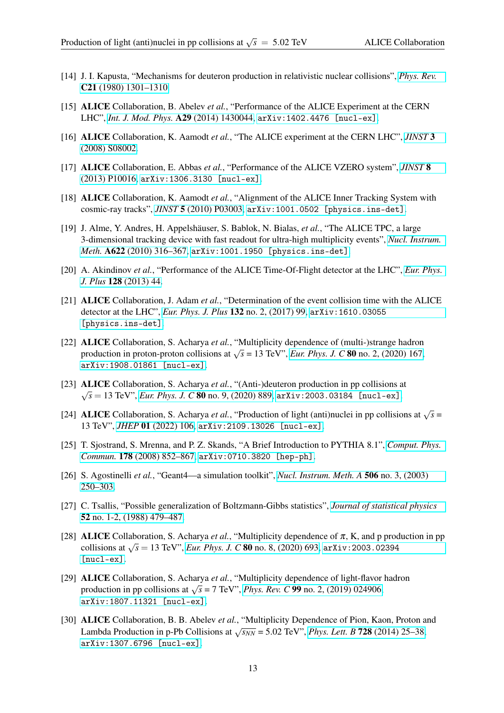- <span id="page-12-0"></span>[14] J. I. Kapusta, "Mechanisms for deuteron production in relativistic nuclear collisions", *[Phys. Rev.](http://dx.doi.org/10.1103/PhysRevC.21.1301)* C21 [\(1980\) 1301–1310.](http://dx.doi.org/10.1103/PhysRevC.21.1301)
- <span id="page-12-1"></span>[15] ALICE Collaboration, B. Abelev *et al.*, "Performance of the ALICE Experiment at the CERN LHC", *[Int. J. Mod. Phys.](http://dx.doi.org/10.1142/S0217751X14300440)* A29 (2014) 1430044, [arXiv:1402.4476 \[nucl-ex\]](http://arxiv.org/abs/1402.4476).
- <span id="page-12-2"></span>[16] ALICE Collaboration, K. Aamodt *et al.*, "The ALICE experiment at the CERN LHC", *[JINST](http://dx.doi.org/10.1088/1748-0221/3/08/S08002)* 3 [\(2008\) S08002.](http://dx.doi.org/10.1088/1748-0221/3/08/S08002)
- <span id="page-12-3"></span>[17] ALICE Collaboration, E. Abbas *et al.*, "Performance of the ALICE VZERO system", *[JINST](http://dx.doi.org/10.1088/1748-0221/8/10/P10016)* 8 [\(2013\) P10016,](http://dx.doi.org/10.1088/1748-0221/8/10/P10016) [arXiv:1306.3130 \[nucl-ex\]](http://arxiv.org/abs/1306.3130).
- <span id="page-12-4"></span>[18] ALICE Collaboration, K. Aamodt *et al.*, "Alignment of the ALICE Inner Tracking System with cosmic-ray tracks", *JINST* 5 [\(2010\) P03003,](http://dx.doi.org/10.1088/1748-0221/5/03/P03003) [arXiv:1001.0502 \[physics.ins-det\]](http://arxiv.org/abs/1001.0502).
- <span id="page-12-5"></span>[19] J. Alme, Y. Andres, H. Appelshäuser, S. Bablok, N. Bialas, *et al.*, "The ALICE TPC, a large 3-dimensional tracking device with fast readout for ultra-high multiplicity events", *[Nucl. Instrum.](http://dx.doi.org/10.1016/j.nima.2010.04.042) Meth.* A622 [\(2010\) 316–367,](http://dx.doi.org/10.1016/j.nima.2010.04.042) [arXiv:1001.1950 \[physics.ins-det\]](http://arxiv.org/abs/1001.1950).
- <span id="page-12-6"></span>[20] A. Akindinov *et al.*, "Performance of the ALICE Time-Of-Flight detector at the LHC", *[Eur. Phys.](http://dx.doi.org/10.1140/epjp/i2013-13044-x) J. Plus* 128 [\(2013\) 44.](http://dx.doi.org/10.1140/epjp/i2013-13044-x)
- <span id="page-12-7"></span>[21] ALICE Collaboration, J. Adam *et al.*, "Determination of the event collision time with the ALICE detector at the LHC", *[Eur. Phys. J. Plus](http://dx.doi.org/10.1140/epjp/i2017-11279-1)* 132 no. 2, (2017) 99, [arXiv:1610.03055](http://arxiv.org/abs/1610.03055) [\[physics.ins-det\]](http://arxiv.org/abs/1610.03055).
- <span id="page-12-8"></span>[22] ALICE Collaboration, S. Acharya *et al.*, "Multiplicity dependence of (multi-)strange hadron production in proton-proton collisions at  $\sqrt{s}$  = 13 TeV", *Eur. Phys. J. C* 80 [no. 2, \(2020\) 167,](http://dx.doi.org/10.1140/epjc/s10052-020-7673-8) [arXiv:1908.01861 \[nucl-ex\]](http://arxiv.org/abs/1908.01861).
- <span id="page-12-9"></span>[23] ALICE Collaboration, S. Acharya *et al.*, "(Anti-)deuteron production in pp collisions at √  $\sqrt{s}$  = 13 TeV", *Eur. Phys. J. C* 80 [no. 9, \(2020\) 889,](http://dx.doi.org/10.1140/epjc/s10052-020-8256-4) arXiv: 2003.03184 [nucl-ex].
- <span id="page-12-10"></span>[24] **ALICE** Collaboration, S. Acharya *et al.*, "Production of light (anti)nuclei in pp collisions at  $\sqrt{s}$  = 13 TeV", *JHEP* 01 [\(2022\) 106,](http://dx.doi.org/10.1007/JHEP01(2022)106) [arXiv:2109.13026 \[nucl-ex\]](http://arxiv.org/abs/2109.13026).
- <span id="page-12-11"></span>[25] T. Sjostrand, S. Mrenna, and P. Z. Skands, "A Brief Introduction to PYTHIA 8.1", *[Comput. Phys.](http://dx.doi.org/10.1016/j.cpc.2008.01.036) Commun.* 178 [\(2008\) 852–867,](http://dx.doi.org/10.1016/j.cpc.2008.01.036) [arXiv:0710.3820 \[hep-ph\]](http://arxiv.org/abs/0710.3820).
- <span id="page-12-12"></span>[26] S. Agostinelli *et al.*, "Geant4—a simulation toolkit", *[Nucl. Instrum. Meth. A](http://dx.doi.org/https://doi.org/10.1016/S0168-9002(03)01368-8)* 506 no. 3, (2003) [250–303.](http://dx.doi.org/https://doi.org/10.1016/S0168-9002(03)01368-8)
- <span id="page-12-13"></span>[27] C. Tsallis, "Possible generalization of Boltzmann-Gibbs statistics", *[Journal of statistical physics](http://dx.doi.org/10.1007/BF01016429)* 52 [no. 1-2, \(1988\) 479–487.](http://dx.doi.org/10.1007/BF01016429)
- <span id="page-12-15"></span>[28] **ALICE** Collaboration, S. Acharya *et al.*, "Multiplicity dependence of  $\pi$ , K, and p production in pp **EXECTE** Conaboration, 3. Actiarya *et al.*, Manupheny dependence of  $\lambda$ , K, and p proceditions at  $\sqrt{s} = 13$  TeV", *Eur. Phys. J. C* 80 [no. 8, \(2020\) 693,](http://dx.doi.org/10.1140/epjc/s10052-020-8125-1) arXiv: 2003.02394 [\[nucl-ex\]](http://arxiv.org/abs/2003.02394).
- <span id="page-12-16"></span>[29] ALICE Collaboration, S. Acharya *et al.*, "Multiplicity dependence of light-flavor hadron production in pp collisions at  $\sqrt{s} = 7$  TeV", *Phys. Rev. C* 99 [no. 2, \(2019\) 024906,](http://dx.doi.org/10.1103/PhysRevC.99.024906) [arXiv:1807.11321 \[nucl-ex\]](http://arxiv.org/abs/1807.11321).
- <span id="page-12-14"></span>[30] ALICE Collaboration, B. B. Abelev *et al.*, "Multiplicity Dependence of Pion, Kaon, Proton and Lambda Production in p-Pb Collisions at  $\sqrt{s_{NN}}$  = 5.02 TeV", *Phys. Lett. B* 728 [\(2014\) 25–38,](http://dx.doi.org/10.1016/j.physletb.2013.11.020) [arXiv:1307.6796 \[nucl-ex\]](http://arxiv.org/abs/1307.6796).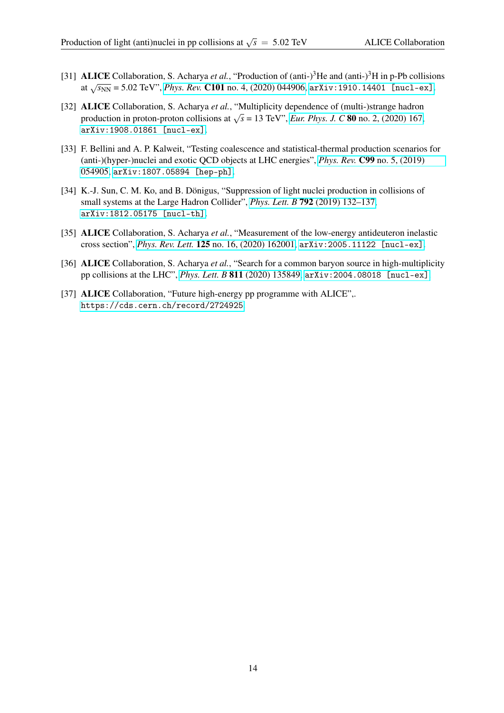- <span id="page-13-1"></span>[31] **ALICE** Collaboration, S. Acharya *et al.*, "Production of (anti-)<sup>3</sup>He and (anti-)<sup>3</sup>H in p-Pb collisions at  $\sqrt{s_{NN}}$  = 5.02 TeV", *Phys. Rev.* C101 [no. 4, \(2020\) 044906,](http://dx.doi.org/10.1103/PhysRevC.101.044906) [arXiv:1910.14401 \[nucl-ex\]](http://arxiv.org/abs/1910.14401).
- <span id="page-13-0"></span>[32] **ALICE** Collaboration, S. Acharya *et al.*, "Multiplicity dependence of (multi-)strange hadron production in proton-proton collisions at  $\sqrt{s}$  = 13 TeV", *Eur. Phys. J. C* 80 [no. 2, \(2020\) 167,](http://dx.doi.org/10.1140/epjc/s10052-020-7673-8) [arXiv:1908.01861 \[nucl-ex\]](http://arxiv.org/abs/1908.01861).
- <span id="page-13-2"></span>[33] F. Bellini and A. P. Kalweit, "Testing coalescence and statistical-thermal production scenarios for (anti-)(hyper-)nuclei and exotic QCD objects at LHC energies", *Phys. Rev.* C99 [no. 5, \(2019\)](http://dx.doi.org/10.1103/PhysRevC.99.054905) [054905,](http://dx.doi.org/10.1103/PhysRevC.99.054905) [arXiv:1807.05894 \[hep-ph\]](http://arxiv.org/abs/1807.05894).
- <span id="page-13-4"></span>[34] K.-J. Sun, C. M. Ko, and B. Dönigus, "Suppression of light nuclei production in collisions of small systems at the Large Hadron Collider", *Phys. Lett. B* 792 [\(2019\) 132–137,](http://dx.doi.org/10.1016/j.physletb.2019.03.033) [arXiv:1812.05175 \[nucl-th\]](http://arxiv.org/abs/1812.05175).
- <span id="page-13-3"></span>[35] ALICE Collaboration, S. Acharya *et al.*, "Measurement of the low-energy antideuteron inelastic cross section", *Phys. Rev. Lett.* 125 [no. 16, \(2020\) 162001,](http://dx.doi.org/10.1103/PhysRevLett.125.162001) [arXiv:2005.11122 \[nucl-ex\]](http://arxiv.org/abs/2005.11122).
- <span id="page-13-5"></span>[36] **ALICE** Collaboration, S. Acharya *et al.*, "Search for a common baryon source in high-multiplicity pp collisions at the LHC", *Phys. Lett. B* 811 [\(2020\) 135849,](http://dx.doi.org/10.1016/j.physletb.2020.135849) [arXiv:2004.08018 \[nucl-ex\]](http://arxiv.org/abs/2004.08018).
- <span id="page-13-6"></span>[37] ALICE Collaboration, "Future high-energy pp programme with ALICE",. <https://cds.cern.ch/record/2724925>.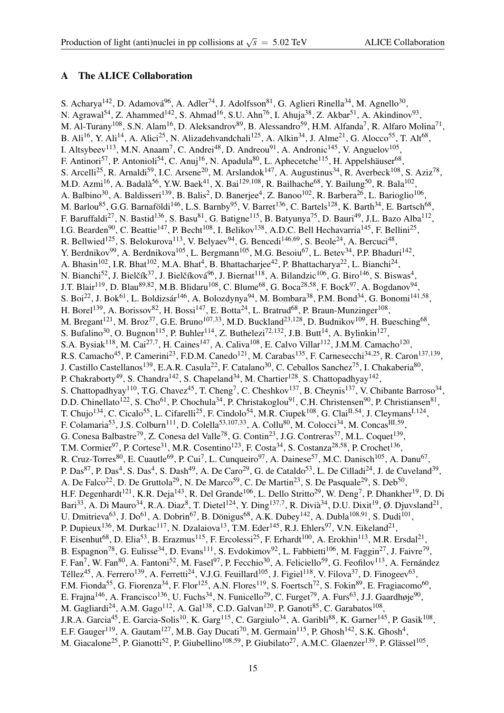## <span id="page-14-0"></span>A The ALICE Collaboration

S. Acharya<sup>142</sup>, D. Adamová<sup>96</sup>, A. Adler<sup>74</sup>, J. Adolfsson<sup>81</sup>, G. Aglieri Rinella<sup>34</sup>, M. Agnello<sup>30</sup>, N. Agrawal<sup>54</sup>, Z. Ahammed<sup>142</sup>, S. Ahmad<sup>16</sup>, S.U. Ahn<sup>76</sup>, I. Ahuja<sup>38</sup>, Z. Akbar<sup>51</sup>, A. Akindinov<sup>93</sup>, M. Al-Turany<sup>108</sup>, S.N. Alam<sup>16</sup>, D. Aleksandrov<sup>89</sup>, B. Alessandro<sup>59</sup>, H.M. Alfanda<sup>7</sup>, R. Alfaro Molina<sup>71</sup>, B. Ali<sup>16</sup>, Y. Ali<sup>14</sup>, A. Alici<sup>25</sup>, N. Alizadehvandchali<sup>125</sup>, A. Alkin<sup>34</sup>, J. Alme<sup>21</sup>, G. Alocco<sup>55</sup>, T. Alt<sup>68</sup>, I. Altsybeev<sup>113</sup>, M.N. Anaam<sup>7</sup>, C. Andrei<sup>48</sup>, D. Andreou<sup>91</sup>, A. Andronic<sup>145</sup>, V. Anguelov<sup>105</sup>, F. Antinori<sup>57</sup>, P. Antonioli<sup>54</sup>, C. Anuj<sup>16</sup>, N. Apadula<sup>80</sup>, L. Aphecetche<sup>115</sup>, H. Appelshäuser<sup>68</sup>, S. Arcelli<sup>25</sup>, R. Arnaldi<sup>59</sup>, I.C. Arsene<sup>20</sup>, M. Arslandok<sup>147</sup>, A. Augustinus<sup>34</sup>, R. Averbeck<sup>108</sup>, S. Aziz<sup>78</sup>, M.D. Azmi<sup>16</sup>, A. Badalà<sup>56</sup>, Y.W. Baek<sup>41</sup>, X. Bai<sup>129,108</sup>, R. Bailhache<sup>68</sup>, Y. Bailung<sup>50</sup>, R. Bala<sup>102</sup>, A. Balbino<sup>30</sup>, A. Baldisseri<sup>139</sup>, B. Balis<sup>2</sup>, D. Banerjee<sup>4</sup>, Z. Banoo<sup>102</sup>, R. Barbera<sup>26</sup>, L. Barioglio<sup>106</sup>, M. Barlou<sup>85</sup>, G.G. Barnaföldi<sup>146</sup>, L.S. Barnby<sup>95</sup>, V. Barret<sup>136</sup>, C. Bartels<sup>128</sup>, K. Barth<sup>34</sup>, E. Bartsch<sup>68</sup>, F. Baruffaldi<sup>27</sup>, N. Bastid<sup>136</sup>, S. Basu<sup>81</sup>, G. Batigne<sup>115</sup>, B. Batyunya<sup>75</sup>, D. Bauri<sup>49</sup>, J.L. Bazo Alba<sup>112</sup>, I.G. Bearden<sup>90</sup>, C. Beattie<sup>147</sup>, P. Becht<sup>108</sup>, I. Belikov<sup>138</sup>, A.D.C. Bell Hechavarria<sup>145</sup>, F. Bellini<sup>25</sup>, R. Bellwied<sup>125</sup>, S. Belokurova<sup>113</sup>, V. Belyaev<sup>94</sup>, G. Bencedi<sup>146,69</sup>, S. Beole<sup>24</sup>, A. Bercuci<sup>48</sup>, Y. Berdnikov<sup>99</sup>, A. Berdnikova<sup>105</sup>, L. Bergmann<sup>105</sup>, M.G. Besoiu<sup>67</sup>, L. Betev<sup>34</sup>, P.P. Bhaduri<sup>142</sup>, A. Bhasin<sup>102</sup>, I.R. Bhat<sup>102</sup>, M.A. Bhat<sup>4</sup>, B. Bhattacharjee<sup>42</sup>, P. Bhattacharya<sup>22</sup>, L. Bianchi<sup>24</sup>, N. Bianchi<sup>52</sup>, J. Bielčík<sup>37</sup>, J. Bielčíková<sup>96</sup>, J. Biernat<sup>118</sup>, A. Bilandzic<sup>106</sup>, G. Biro<sup>146</sup>, S. Biswas<sup>4</sup>, J.T. Blair<sup>119</sup>, D. Blau<sup>89,82</sup>, M.B. Blidaru<sup>108</sup>, C. Blume<sup>68</sup>, G. Boca<sup>28,58</sup>, F. Bock<sup>97</sup>, A. Bogdanov<sup>94</sup>, S. Boi<sup>22</sup>, J. Bok<sup>61</sup>, L. Boldizsár<sup>146</sup>, A. Bolozdynya<sup>94</sup>, M. Bombara<sup>38</sup>, P.M. Bond<sup>34</sup>, G. Bonomi<sup>141,58</sup>, H. Borel<sup>139</sup>, A. Borissov<sup>82</sup>, H. Bossi<sup>147</sup>, E. Botta<sup>24</sup>, L. Bratrud<sup>68</sup>, P. Braun-Munzinger<sup>108</sup>, M. Bregant<sup>121</sup>, M. Broz<sup>37</sup>, G.E. Bruno<sup>107,33</sup>, M.D. Buckland<sup>23,128</sup>, D. Budnikov<sup>109</sup>, H. Buesching<sup>68</sup>, S. Bufalino<sup>30</sup>, O. Bugnon<sup>115</sup>, P. Buhler<sup>114</sup>, Z. Buthelezi<sup>72,132</sup>, J.B. Butt<sup>14</sup>, A. Bylinkin<sup>127</sup>, S.A. Bysiak<sup>118</sup>, M. Cai<sup>27,7</sup>, H. Caines<sup>147</sup>, A. Caliva<sup>108</sup>, E. Calvo Villar<sup>112</sup>, J.M.M. Camacho<sup>120</sup>, R.S. Camacho<sup>45</sup>, P. Camerini<sup>23</sup>, F.D.M. Canedo<sup>121</sup>, M. Carabas<sup>135</sup>, F. Carnesecchi<sup>34,25</sup>, R. Caron<sup>137,139</sup>, J. Castillo Castellanos<sup>139</sup>, E.A.R. Casula<sup>22</sup>, F. Catalano<sup>30</sup>, C. Ceballos Sanchez<sup>75</sup>, I. Chakaberia<sup>80</sup>, P. Chakraborty<sup>49</sup>, S. Chandra<sup>142</sup>, S. Chapeland<sup>34</sup>, M. Chartier<sup>128</sup>, S. Chattopadhyay<sup>142</sup>, S. Chattopadhyay<sup>110</sup>, T.G. Chavez<sup>45</sup>, T. Cheng<sup>7</sup>, C. Cheshkov<sup>137</sup>, B. Cheynis<sup>137</sup>, V. Chibante Barroso<sup>34</sup>, D.D. Chinellato<sup>122</sup>, S. Cho<sup>61</sup>, P. Chochula<sup>34</sup>, P. Christakoglou<sup>91</sup>, C.H. Christensen<sup>90</sup>, P. Christiansen<sup>81</sup>, T. Chujo<sup>134</sup>, C. Cicalo<sup>55</sup>, L. Cifarelli<sup>25</sup>, F. Cindolo<sup>54</sup>, M.R. Ciupek<sup>108</sup>, G. Clai<sup>II,54</sup>, J. Cleymans<sup>I,124</sup>, F. Colamaria<sup>53</sup>, J.S. Colburn<sup>111</sup>, D. Colella<sup>53,107,33</sup>, A. Collu<sup>80</sup>, M. Colocci<sup>34</sup>, M. Concas<sup>III,59</sup>, G. Conesa Balbastre<sup>79</sup>, Z. Conesa del Valle<sup>78</sup>, G. Contin<sup>23</sup>, J.G. Contreras<sup>37</sup>, M.L. Coquet<sup>139</sup>, T.M. Cormier<sup>97</sup>, P. Cortese<sup>31</sup>, M.R. Cosentino<sup>123</sup>, F. Costa<sup>34</sup>, S. Costanza<sup>28,58</sup>, P. Crochet<sup>136</sup>, R. Cruz-Torres<sup>80</sup>, E. Cuautle<sup>69</sup>, P. Cui<sup>7</sup>, L. Cunqueiro<sup>97</sup>, A. Dainese<sup>57</sup>, M.C. Danisch<sup>105</sup>, A. Danu<sup>67</sup>, P.  $Das^{87}$ , P.  $Das^4$ , S.  $Das^4$ , S.  $Dash^{49}$ , A. De Caro<sup>29</sup>, G. de Cataldo<sup>53</sup>, L. De Cilladi<sup>24</sup>, J. de Cuveland<sup>39</sup>, A. De Falco<sup>22</sup>, D. De Gruttola<sup>29</sup>, N. De Marco<sup>59</sup>, C. De Martin<sup>23</sup>, S. De Pasquale<sup>29</sup>, S. Deb<sup>50</sup>, H.F. Degenhardt<sup>121</sup>, K.R. Deja<sup>143</sup>, R. Del Grande<sup>106</sup>, L. Dello Stritto<sup>29</sup>, W. Deng<sup>7</sup>, P. Dhankher<sup>19</sup>, D. Di Bari<sup>33</sup>, A. Di Mauro<sup>34</sup>, R.A. Diaz<sup>8</sup>, T. Dietel<sup>124</sup>, Y. Ding<sup>137,7</sup>, R. Divià<sup>34</sup>, D.U. Dixit<sup>19</sup>, Ø. Djuvsland<sup>21</sup>, U. Dmitrieva<sup>63</sup>, J. Do<sup>61</sup>, A. Dobrin<sup>67</sup>, B. Dönigus<sup>68</sup>, A.K. Dubey<sup>142</sup>, A. Dubla<sup>108,91</sup>, S. Dudi<sup>101</sup>, P. Dupieux<sup>136</sup>, M. Durkac<sup>117</sup>, N. Dzalaiova<sup>13</sup>, T.M. Eder<sup>145</sup>, R.J. Ehlers<sup>97</sup>, V.N. Eikeland<sup>21</sup>, F. Eisenhut<sup>68</sup>, D. Elia<sup>53</sup>, B. Erazmus<sup>115</sup>, F. Ercolessi<sup>25</sup>, F. Erhardt<sup>100</sup>, A. Erokhin<sup>113</sup>, M.R. Ersdal<sup>21</sup>, B. Espagnon<sup>78</sup>, G. Eulisse<sup>34</sup>, D. Evans<sup>111</sup>, S. Evdokimov<sup>92</sup>, L. Fabbietti<sup>106</sup>, M. Faggin<sup>27</sup>, J. Faivre<sup>79</sup>, F. Fan<sup>7</sup>, W. Fan<sup>80</sup>, A. Fantoni<sup>52</sup>, M. Fasel<sup>97</sup>, P. Fecchio<sup>30</sup>, A. Feliciello<sup>59</sup>, G. Feofilov<sup>113</sup>, A. Fernández Téllez<sup>45</sup>, A. Ferrero<sup>139</sup>, A. Ferretti<sup>24</sup>, V.J.G. Feuillard<sup>105</sup>, J. Figiel<sup>118</sup>, V. Filova<sup>37</sup>, D. Finogeev<sup>63</sup>, F.M. Fionda<sup>55</sup>, G. Fiorenza<sup>34</sup>, F. Flor<sup>125</sup>, A.N. Flores<sup>119</sup>, S. Foertsch<sup>72</sup>, S. Fokin<sup>89</sup>, E. Fragiacomo<sup>60</sup>, E. Frajna<sup>146</sup>, A. Francisco<sup>136</sup>, U. Fuchs<sup>34</sup>, N. Funicello<sup>29</sup>, C. Furget<sup>79</sup>, A. Furs<sup>63</sup>, J.J. Gaardhøje<sup>90</sup>, M. Gagliardi<sup>24</sup>, A.M. Gago<sup>112</sup>, A. Gal<sup>138</sup>, C.D. Galvan<sup>120</sup>, P. Ganoti<sup>85</sup>, C. Garabatos<sup>108</sup>, J.R.A. Garcia<sup>45</sup>, E. Garcia-Solis<sup>10</sup>, K. Garg<sup>115</sup>, C. Gargiulo<sup>34</sup>, A. Garibli<sup>88</sup>, K. Garner<sup>145</sup>, P. Gasik<sup>108</sup>, E.F. Gauger<sup>119</sup>, A. Gautam<sup>127</sup>, M.B. Gay Ducati<sup>70</sup>, M. Germain<sup>115</sup>, P. Ghosh<sup>142</sup>, S.K. Ghosh<sup>4</sup>, M. Giacalone<sup>25</sup>, P. Gianotti<sup>52</sup>, P. Giubellino<sup>108,59</sup>, P. Giubilato<sup>27</sup>, A.M.C. Glaenzer<sup>139</sup>, P. Glässel<sup>105</sup>,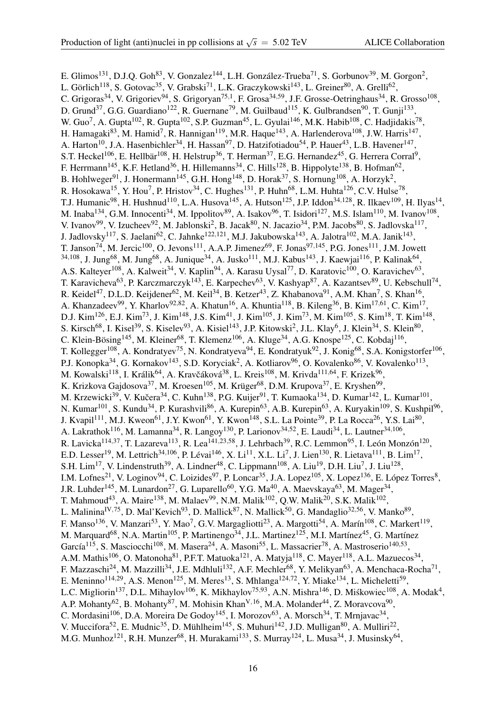E. Glimos<sup>131</sup>, D.J.Q. Goh<sup>83</sup>, V. Gonzalez<sup>144</sup>, L.H. González-Trueba<sup>71</sup>, S. Gorbunov<sup>39</sup>, M. Gorgon<sup>2</sup>, L. Görlich<sup>118</sup>, S. Gotovac<sup>35</sup>, V. Grabski<sup>71</sup>, L.K. Graczykowski<sup>143</sup>, L. Greiner<sup>80</sup>, A. Grelli<sup>62</sup>, C. Grigoras<sup>34</sup>, V. Grigoriev<sup>94</sup>, S. Grigoryan<sup>75,1</sup>, F. Grosa<sup>34,59</sup>, J.F. Grosse-Oetringhaus<sup>34</sup>, R. Grosso<sup>108</sup>, D. Grund<sup>37</sup>, G.G. Guardiano<sup>122</sup>, R. Guernane<sup>79</sup>, M. Guilbaud<sup>115</sup>, K. Gulbrandsen<sup>90</sup>, T. Gunji<sup>133</sup>, W. Guo<sup>7</sup>, A. Gupta<sup>102</sup>, R. Gupta<sup>102</sup>, S.P. Guzman<sup>45</sup>, L. Gyulai<sup>146</sup>, M.K. Habib<sup>108</sup>, C. Hadjidakis<sup>78</sup>, H. Hamagaki<sup>83</sup>, M. Hamid<sup>7</sup>, R. Hannigan<sup>119</sup>, M.R. Haque<sup>143</sup>, A. Harlenderova<sup>108</sup>, J.W. Harris<sup>147</sup>, A. Harton<sup>10</sup>, J.A. Hasenbichler<sup>34</sup>, H. Hassan<sup>97</sup>, D. Hatzifotiadou<sup>54</sup>, P. Hauer<sup>43</sup>, L.B. Havener<sup>147</sup>, S.T. Heckel<sup>106</sup>, E. Hellbär<sup>108</sup>, H. Helstrup<sup>36</sup>, T. Herman<sup>37</sup>, E.G. Hernandez<sup>45</sup>, G. Herrera Corral<sup>9</sup>, F. Herrmann<sup>145</sup>, K.F. Hetland<sup>36</sup>, H. Hillemanns<sup>34</sup>, C. Hills<sup>128</sup>, B. Hippolyte<sup>138</sup>, B. Hofman<sup>62</sup>, B. Hohlweger<sup>91</sup>, J. Honermann<sup>145</sup>, G.H. Hong<sup>148</sup>, D. Horak<sup>37</sup>, S. Hornung<sup>108</sup>, A. Horzyk<sup>2</sup>, R. Hosokawa<sup>15</sup>, Y. Hou<sup>7</sup>, P. Hristov<sup>34</sup>, C. Hughes<sup>131</sup>, P. Huhn<sup>68</sup>, L.M. Huhta<sup>126</sup>, C.V. Hulse<sup>78</sup>, T.J. Humanic<sup>98</sup>, H. Hushnud<sup>110</sup>, L.A. Husova<sup>145</sup>, A. Hutson<sup>125</sup>, J.P. Iddon<sup>34,128</sup>, R. Ilkaev<sup>109</sup>, H. Ilyas<sup>14</sup>, M. Inaba<sup>134</sup>, G.M. Innocenti<sup>34</sup>, M. Ippolitov<sup>89</sup>, A. Isakov<sup>96</sup>, T. Isidori<sup>127</sup>, M.S. Islam<sup>110</sup>, M. Ivanov<sup>108</sup>, V. Ivanov<sup>99</sup>, V. Izucheev<sup>92</sup>, M. Jablonski<sup>2</sup>, B. Jacak<sup>80</sup>, N. Jacazio<sup>34</sup>, P.M. Jacobs<sup>80</sup>, S. Jadlovska<sup>117</sup>, J. Jadlovsky<sup>117</sup>, S. Jaelani<sup>62</sup>, C. Jahnke<sup>122,121</sup>, M.J. Jakubowska<sup>143</sup>, A. Jalotra<sup>102</sup>, M.A. Janik<sup>143</sup>, T. Janson<sup>74</sup>, M. Jercic<sup>100</sup>, O. Jevons<sup>111</sup>, A.A.P. Jimenez<sup>69</sup>, F. Jonas<sup>97,145</sup>, P.G. Jones<sup>111</sup>, J.M. Jowett <sup>34,108</sup>, J. Jung<sup>68</sup>, M. Jung<sup>68</sup>, A. Junique<sup>34</sup>, A. Jusko<sup>111</sup>, M.J. Kabus<sup>143</sup>, J. Kaewjai<sup>116</sup>, P. Kalinak<sup>64</sup>, A.S. Kalteyer<sup>108</sup>, A. Kalweit<sup>34</sup>, V. Kaplin<sup>94</sup>, A. Karasu Uysal<sup>77</sup>, D. Karatovic<sup>100</sup>, O. Karavichev<sup>63</sup>, T. Karavicheva<sup>63</sup>, P. Karczmarczyk<sup>143</sup>, E. Karpechev<sup>63</sup>, V. Kashyap<sup>87</sup>, A. Kazantsev<sup>89</sup>, U. Kebschull<sup>74</sup>, R. Keidel<sup>47</sup>, D.L.D. Keijdener<sup>62</sup>, M. Keil<sup>34</sup>, B. Ketzer<sup>43</sup>, Z. Khabanova<sup>91</sup>, A.M. Khan<sup>7</sup>, S. Khan<sup>16</sup>, A. Khanzadeev<sup>99</sup>, Y. Kharlov<sup>92,82</sup>, A. Khatun<sup>16</sup>, A. Khuntia<sup>118</sup>, B. Kileng<sup>36</sup>, B. Kim<sup>17,61</sup>, C. Kim<sup>17</sup>, D.J. Kim<sup>126</sup>, E.J. Kim<sup>73</sup>, J. Kim<sup>148</sup>, J.S. Kim<sup>41</sup>, J. Kim<sup>105</sup>, J. Kim<sup>73</sup>, M. Kim<sup>105</sup>, S. Kim<sup>18</sup>, T. Kim<sup>148</sup>, S. Kirsch<sup>68</sup>, I. Kisel<sup>39</sup>, S. Kiselev<sup>93</sup>, A. Kisiel<sup>143</sup>, J.P. Kitowski<sup>2</sup>, J.L. Klay<sup>6</sup>, J. Klein<sup>34</sup>, S. Klein<sup>80</sup>, C. Klein-Bösing<sup>145</sup>, M. Kleiner<sup>68</sup>, T. Klemenz<sup>106</sup>, A. Kluge<sup>34</sup>, A.G. Knospe<sup>125</sup>, C. Kobdaj<sup>116</sup>, T. Kollegger<sup>108</sup>, A. Kondratyev<sup>75</sup>, N. Kondratyeva<sup>94</sup>, E. Kondratyuk<sup>92</sup>, J. Konig<sup>68</sup>, S.A. Konigstorfer<sup>106</sup>, P.J. Konopka<sup>34</sup>, G. Kornakov<sup>143</sup>, S.D. Koryciak<sup>2</sup>, A. Kotliarov<sup>96</sup>, O. Kovalenko<sup>86</sup>, V. Kovalenko<sup>113</sup>, M. Kowalski $^{118}$ , I. Králik $^{64}$ , A. Kravčáková $^{38}$ , L. Kreis $^{108}$ , M. Krivda $^{111,64}$ , F. Krizek $^{96}$ , K. Krizkova Gajdosova<sup>37</sup>, M. Kroesen<sup>105</sup>, M. Krüger<sup>68</sup>, D.M. Krupova<sup>37</sup>, E. Kryshen<sup>99</sup>, M. Krzewicki<sup>39</sup>, V. Kučera<sup>34</sup>, C. Kuhn<sup>138</sup>, P.G. Kuijer<sup>91</sup>, T. Kumaoka<sup>134</sup>, D. Kumar<sup>142</sup>, L. Kumar<sup>101</sup>, N. Kumar<sup>101</sup>, S. Kundu<sup>34</sup>, P. Kurashvili<sup>86</sup>, A. Kurepin<sup>63</sup>, A.B. Kurepin<sup>63</sup>, A. Kuryakin<sup>109</sup>, S. Kushpil<sup>96</sup>, J. Kvapil<sup>111</sup>, M.J. Kweon<sup>61</sup>, J.Y. Kwon<sup>61</sup>, Y. Kwon<sup>148</sup>, S.L. La Pointe<sup>39</sup>, P. La Rocca<sup>26</sup>, Y.S. Lai<sup>80</sup>, A. Lakrathok<sup>116</sup>, M. Lamanna<sup>34</sup>, R. Langoy<sup>130</sup>, P. Larionov<sup>34,52</sup>, E. Laudi<sup>34</sup>, L. Lautner<sup>34,106</sup>, R. Lavicka<sup>114,37</sup>, T. Lazareva<sup>113</sup>, R. Lea<sup>141,23,58</sup>, J. Lehrbach<sup>39</sup>, R.C. Lemmon<sup>95</sup>, I. León Monzón<sup>120</sup>, E.D. Lesser<sup>19</sup>, M. Lettrich<sup>34,106</sup>, P. Lévai<sup>146</sup>, X. Li<sup>11</sup>, X.L. Li<sup>7</sup>, J. Lien<sup>130</sup>, R. Lietava<sup>111</sup>, B. Lim<sup>17</sup>, S.H. Lim<sup>17</sup>, V. Lindenstruth<sup>39</sup>, A. Lindner<sup>48</sup>, C. Lippmann<sup>108</sup>, A. Liu<sup>19</sup>, D.H. Liu<sup>7</sup>, J. Liu<sup>128</sup>, I.M. Lofnes<sup>21</sup>, V. Loginov<sup>94</sup>, C. Loizides<sup>97</sup>, P. Loncar<sup>35</sup>, J.A. Lopez<sup>105</sup>, X. Lopez<sup>136</sup>, E. López Torres<sup>8</sup>, J.R. Luhder<sup>145</sup>, M. Lunardon<sup>27</sup>, G. Luparello<sup>60</sup>, Y.G. Ma<sup>40</sup>, A. Maevskaya<sup>63</sup>, M. Mager<sup>34</sup>, T. Mahmoud<sup>43</sup>, A. Maire<sup>138</sup>, M. Malaev<sup>99</sup>, N.M. Malik<sup>102</sup>, Q.W. Malik<sup>20</sup>, S.K. Malik<sup>102</sup>, L. Malinina<sup>IV,75</sup>, D. Mal'Kevich<sup>93</sup>, D. Mallick<sup>87</sup>, N. Mallick<sup>50</sup>, G. Mandaglio<sup>32,56</sup>, V. Manko<sup>89</sup>, F. Manso<sup>136</sup>, V. Manzari<sup>53</sup>, Y. Mao<sup>7</sup>, G.V. Margagliotti<sup>23</sup>, A. Margotti<sup>54</sup>, A. Marín<sup>108</sup>, C. Markert<sup>119</sup>, M. Marquard<sup>68</sup>, N.A. Martin<sup>105</sup>, P. Martinengo<sup>34</sup>, J.L. Martinez<sup>125</sup>, M.I. Martínez<sup>45</sup>, G. Martínez García<sup>115</sup>, S. Masciocchi<sup>108</sup>, M. Masera<sup>24</sup>, A. Masoni<sup>55</sup>, L. Massacrier<sup>78</sup>, A. Mastroserio<sup>140,53</sup>, A.M. Mathis<sup>106</sup>, O. Matonoha<sup>81</sup>, P.F.T. Matuoka<sup>121</sup>, A. Matyja<sup>118</sup>, C. Mayer<sup>118</sup>, A.L. Mazuecos<sup>34</sup>, F. Mazzaschi<sup>24</sup>, M. Mazzilli<sup>34</sup>, J.E. Mdhluli<sup>132</sup>, A.F. Mechler<sup>68</sup>, Y. Melikyan<sup>63</sup>, A. Menchaca-Rocha<sup>71</sup>, E. Meninno<sup>114,29</sup>, A.S. Menon<sup>125</sup>, M. Meres<sup>13</sup>, S. Mhlanga<sup>124,72</sup>, Y. Miake<sup>134</sup>, L. Micheletti<sup>59</sup>, L.C. Migliorin<sup>137</sup>, D.L. Mihaylov<sup>106</sup>, K. Mikhaylov<sup>75,93</sup>, A.N. Mishra<sup>146</sup>, D. Miśkowiec<sup>108</sup>, A. Modak<sup>4</sup>, A.P. Mohanty<sup>62</sup>, B. Mohanty<sup>87</sup>, M. Mohisin Khan<sup>V, 16</sup>, M.A. Molander<sup>44</sup>, Z. Moravcova<sup>90</sup>, C. Mordasini<sup>106</sup>, D.A. Moreira De Godoy<sup>145</sup>, I. Morozov<sup>63</sup>, A. Morsch<sup>34</sup>, T. Mrnjavac<sup>34</sup>, V. Muccifora<sup>52</sup>, E. Mudnic<sup>35</sup>, D. Mühlheim<sup>145</sup>, S. Muhuri<sup>142</sup>, J.D. Mulligan<sup>80</sup>, A. Mulliri<sup>22</sup>, M.G. Munhoz<sup>121</sup>, R.H. Munzer<sup>68</sup>, H. Murakami<sup>133</sup>, S. Murray<sup>124</sup>, L. Musa<sup>34</sup>, J. Musinsky<sup>64</sup>,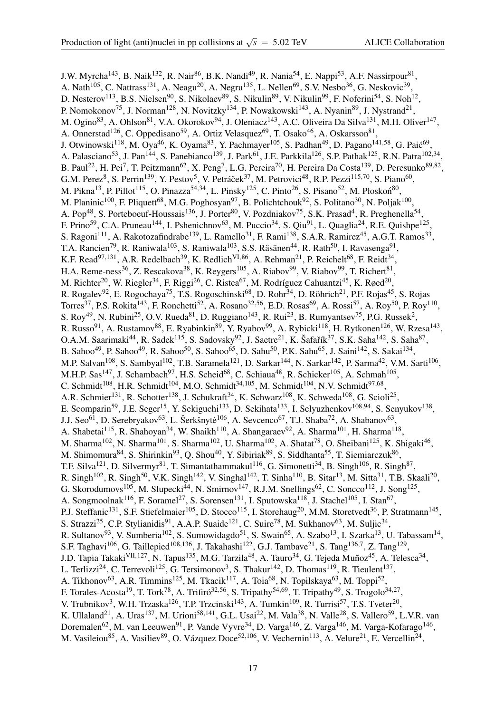J.W. Myrcha<sup>143</sup>, B. Naik<sup>132</sup>, R. Nair<sup>86</sup>, B.K. Nandi<sup>49</sup>, R. Nania<sup>54</sup>, E. Nappi<sup>53</sup>, A.F. Nassirpour<sup>81</sup>, A. Nath<sup>105</sup>, C. Nattrass<sup>131</sup>, A. Neagu<sup>20</sup>, A. Negru<sup>135</sup>, L. Nellen<sup>69</sup>, S.V. Nesbo<sup>36</sup>, G. Neskovic<sup>39</sup>, D. Nesterov<sup>113</sup>, B.S. Nielsen<sup>90</sup>, S. Nikolaev<sup>89</sup>, S. Nikulin<sup>89</sup>, V. Nikulin<sup>99</sup>, F. Noferini<sup>54</sup>, S. Noh<sup>12</sup>, P. Nomokonov<sup>75</sup>, J. Norman<sup>128</sup>, N. Novitzky<sup>134</sup>, P. Nowakowski<sup>143</sup>, A. Nyanin<sup>89</sup>, J. Nystrand<sup>21</sup>, M. Ogino<sup>83</sup>, A. Ohlson<sup>81</sup>, V.A. Okorokov<sup>94</sup>, J. Oleniacz<sup>143</sup>, A.C. Oliveira Da Silva<sup>131</sup>, M.H. Oliver<sup>147</sup>, A. Onnerstad<sup>126</sup>, C. Oppedisano<sup>59</sup>, A. Ortiz Velasquez<sup>69</sup>, T. Osako<sup>46</sup>, A. Oskarsson<sup>81</sup>, J. Otwinowski<sup>118</sup>, M. Oya<sup>46</sup>, K. Oyama<sup>83</sup>, Y. Pachmayer<sup>105</sup>, S. Padhan<sup>49</sup>, D. Pagano<sup>141,58</sup>, G. Paić<sup>69</sup>, A. Palasciano<sup>53</sup>, J. Pan<sup>144</sup>, S. Panebianco<sup>139</sup>, J. Park<sup>61</sup>, J.E. Parkkila<sup>126</sup>, S.P. Pathak<sup>125</sup>, R.N. Patra<sup>102,34</sup>, B. Paul<sup>22</sup>, H. Pei<sup>7</sup>, T. Peitzmann<sup>62</sup>, X. Peng<sup>7</sup>, L.G. Pereira<sup>70</sup>, H. Pereira Da Costa<sup>139</sup>, D. Peresunko<sup>89,82</sup>, G.M. Perez<sup>8</sup>, S. Perrin<sup>139</sup>, Y. Pestov<sup>5</sup>, V. Petráček<sup>37</sup>, M. Petrovici<sup>48</sup>, R.P. Pezzi<sup>115,70</sup>, S. Piano<sup>60</sup>, M. Pikna<sup>13</sup>, P. Pillot<sup>115</sup>, O. Pinazza<sup>54,34</sup>, L. Pinsky<sup>125</sup>, C. Pinto<sup>26</sup>, S. Pisano<sup>52</sup>, M. Płoskoń<sup>80</sup>, M. Planinic<sup>100</sup>, F. Pliquett<sup>68</sup>, M.G. Poghosyan<sup>97</sup>, B. Polichtchouk<sup>92</sup>, S. Politano<sup>30</sup>, N. Poljak<sup>100</sup>, A. Pop<sup>48</sup>, S. Porteboeuf-Houssais<sup>136</sup>, J. Porter<sup>80</sup>, V. Pozdniakov<sup>75</sup>, S.K. Prasad<sup>4</sup>, R. Preghenella<sup>54</sup>, F. Prino<sup>59</sup>, C.A. Pruneau<sup>144</sup>, I. Pshenichnov<sup>63</sup>, M. Puccio<sup>34</sup>, S. Qiu<sup>91</sup>, L. Quaglia<sup>24</sup>, R.E. Quishpe<sup>125</sup>, S. Ragoni<sup>111</sup>, A. Rakotozafindrabe<sup>139</sup>, L. Ramello<sup>31</sup>, F. Rami<sup>138</sup>, S.A.R. Ramirez<sup>45</sup>, A.G.T. Ramos<sup>33</sup>, T.A. Rancien<sup>79</sup>, R. Raniwala<sup>103</sup>, S. Raniwala<sup>103</sup>, S.S. Räsänen<sup>44</sup>, R. Rath<sup>50</sup>, I. Ravasenga<sup>91</sup>, K.F. Read<sup>97,131</sup>, A.R. Redelbach<sup>39</sup>, K. Redlich<sup>VI,86</sup>, A. Rehman<sup>21</sup>, P. Reichelt<sup>68</sup>, F. Reidt<sup>34</sup>, H.A. Reme-ness<sup>36</sup>, Z. Rescakova<sup>38</sup>, K. Reygers<sup>105</sup>, A. Riabov<sup>99</sup>, V. Riabov<sup>99</sup>, T. Richert<sup>81</sup>, M. Richter<sup>20</sup>, W. Riegler<sup>34</sup>, F. Riggi<sup>26</sup>, C. Ristea<sup>67</sup>, M. Rodríguez Cahuantzi<sup>45</sup>, K. Røed<sup>20</sup>, R. Rogalev<sup>92</sup>, E. Rogochaya<sup>75</sup>, T.S. Rogoschinski<sup>68</sup>, D. Rohr<sup>34</sup>, D. Röhrich<sup>21</sup>, P.F. Rojas<sup>45</sup>, S. Rojas Torres<sup>37</sup>, P.S. Rokita<sup>143</sup>, F. Ronchetti<sup>52</sup>, A. Rosano<sup>32,56</sup>, E.D. Rosas<sup>69</sup>, A. Rossi<sup>57</sup>, A. Roy<sup>50</sup>, P. Roy<sup>110</sup>, S. Roy<sup>49</sup>, N. Rubini<sup>25</sup>, O.V. Rueda<sup>81</sup>, D. Ruggiano<sup>143</sup>, R. Rui<sup>23</sup>, B. Rumyantsev<sup>75</sup>, P.G. Russek<sup>2</sup>, R. Russo<sup>91</sup>, A. Rustamov<sup>88</sup>, E. Ryabinkin<sup>89</sup>, Y. Ryabov<sup>99</sup>, A. Rybicki<sup>118</sup>, H. Rytkonen<sup>126</sup>, W. Rzesa<sup>143</sup>, O.A.M. Saarimaki<sup>44</sup>, R. Sadek<sup>115</sup>, S. Sadovsky<sup>92</sup>, J. Saetre<sup>21</sup>, K. Šafařík<sup>37</sup>, S.K. Saha<sup>142</sup>, S. Saha<sup>87</sup>, B. Sahoo<sup>49</sup>, P. Sahoo<sup>49</sup>, R. Sahoo<sup>50</sup>, S. Sahoo<sup>65</sup>, D. Sahu<sup>50</sup>, P.K. Sahu<sup>65</sup>, J. Saini<sup>142</sup>, S. Sakai<sup>134</sup>, M.P. Salvan<sup>108</sup>, S. Sambyal<sup>102</sup>, T.B. Saramela<sup>121</sup>, D. Sarkar<sup>144</sup>, N. Sarkar<sup>142</sup>, P. Sarma<sup>42</sup>, V.M. Sarti<sup>106</sup>, M.H.P. Sas<sup>147</sup>, J. Schambach<sup>97</sup>, H.S. Scheid<sup>68</sup>, C. Schiaua<sup>48</sup>, R. Schicker<sup>105</sup>, A. Schmah<sup>105</sup>, C. Schmidt<sup>108</sup>, H.R. Schmidt<sup>104</sup>, M.O. Schmidt<sup>34,105</sup>, M. Schmidt<sup>104</sup>, N.V. Schmidt<sup>97,68</sup>, A.R. Schmier<sup>131</sup>, R. Schotter<sup>138</sup>, J. Schukraft<sup>34</sup>, K. Schwarz<sup>108</sup>, K. Schweda<sup>108</sup>, G. Scioli<sup>25</sup>, E. Scomparin<sup>59</sup>, J.E. Seger<sup>15</sup>, Y. Sekiguchi<sup>133</sup>, D. Sekihata<sup>133</sup>, I. Selyuzhenkov<sup>108,94</sup>, S. Senyukov<sup>138</sup>, J.J. Seo<sup>61</sup>, D. Serebryakov<sup>63</sup>, L. Šerkšnytė<sup>106</sup>, A. Sevcenco<sup>67</sup>, T.J. Shaba<sup>72</sup>, A. Shabanov<sup>63</sup>, A. Shabetai<sup>115</sup>, R. Shahoyan<sup>34</sup>, W. Shaikh<sup>110</sup>, A. Shangaraev<sup>92</sup>, A. Sharma<sup>101</sup>, H. Sharma<sup>118</sup>, M. Sharma<sup>102</sup>, N. Sharma<sup>101</sup>, S. Sharma<sup>102</sup>, U. Sharma<sup>102</sup>, A. Shatat<sup>78</sup>, O. Sheibani<sup>125</sup>, K. Shigaki<sup>46</sup>, M. Shimomura<sup>84</sup>, S. Shirinkin<sup>93</sup>, Q. Shou<sup>40</sup>, Y. Sibiriak<sup>89</sup>, S. Siddhanta<sup>55</sup>, T. Siemiarczuk<sup>86</sup>, T.F. Silva<sup>121</sup>, D. Silvermyr<sup>81</sup>, T. Simantathammakul<sup>116</sup>, G. Simonetti<sup>34</sup>, B. Singh<sup>106</sup>, R. Singh<sup>87</sup>, R. Singh<sup>102</sup>, R. Singh<sup>50</sup>, V.K. Singh<sup>142</sup>, V. Singhal<sup>142</sup>, T. Sinha<sup>110</sup>, B. Sitar<sup>13</sup>, M. Sitta<sup>31</sup>, T.B. Skaali<sup>20</sup>, G. Skorodumovs<sup>105</sup>, M. Slupecki<sup>44</sup>, N. Smirnov<sup>147</sup>, R.J.M. Snellings<sup>62</sup>, C. Soncco<sup>112</sup>, J. Song<sup>125</sup>, A. Songmoolnak<sup>116</sup>, F. Soramel<sup>27</sup>, S. Sorensen<sup>131</sup>, I. Sputowska<sup>118</sup>, J. Stachel<sup>105</sup>, I. Stan<sup>67</sup>, P.J. Steffanic<sup>131</sup>, S.F. Stiefelmaier<sup>105</sup>, D. Stocco<sup>115</sup>, I. Storehaug<sup>20</sup>, M.M. Storetvedt<sup>36</sup>, P. Stratmann<sup>145</sup>, S. Strazzi<sup>25</sup>, C.P. Stylianidis<sup>91</sup>, A.A.P. Suaide<sup>121</sup>, C. Suire<sup>78</sup>, M. Sukhanov<sup>63</sup>, M. Suljic<sup>34</sup>, R. Sultanov<sup>93</sup>, V. Sumberia<sup>102</sup>, S. Sumowidagdo<sup>51</sup>, S. Swain<sup>65</sup>, A. Szabo<sup>13</sup>, I. Szarka<sup>13</sup>, U. Tabassam<sup>14</sup>, S.F. Taghavi<sup>106</sup>, G. Taillepied<sup>108,136</sup>, J. Takahashi<sup>122</sup>, G.J. Tambave<sup>21</sup>, S. Tang<sup>136,7</sup>, Z. Tang<sup>129</sup>, J.D. Tapia Takaki<sup>VII,127</sup>, N. Tapus<sup>135</sup>, M.G. Tarzila<sup>48</sup>, A. Tauro<sup>34</sup>, G. Tejeda Muñoz<sup>45</sup>, A. Telesca<sup>34</sup>, L. Terlizzi<sup>24</sup>, C. Terrevoli<sup>125</sup>, G. Tersimonov<sup>3</sup>, S. Thakur<sup>142</sup>, D. Thomas<sup>119</sup>, R. Tieulent<sup>137</sup>, A. Tikhonov<sup>63</sup>, A.R. Timmins<sup>125</sup>, M. Tkacik<sup>117</sup>, A. Toia<sup>68</sup>, N. Topilskaya<sup>63</sup>, M. Toppi<sup>52</sup>, F. Torales-Acosta<sup>19</sup>, T. Tork<sup>78</sup>, A. Trifiró<sup>32,56</sup>, S. Tripathy<sup>54,69</sup>, T. Tripathy<sup>49</sup>, S. Trogolo<sup>34,27</sup>, V. Trubnikov<sup>3</sup>, W.H. Trzaska<sup>126</sup>, T.P. Trzcinski<sup>143</sup>, A. Tumkin<sup>109</sup>, R. Turrisi<sup>57</sup>, T.S. Tveter<sup>20</sup>, K. Ullaland<sup>21</sup>, A. Uras<sup>137</sup>, M. Urioni<sup>58,141</sup>, G.L. Usai<sup>22</sup>, M. Vala<sup>38</sup>, N. Valle<sup>28</sup>, S. Vallero<sup>59</sup>, L.V.R. van Doremalen<sup>62</sup>, M. van Leeuwen<sup>91</sup>, P. Vande Vyvre<sup>34</sup>, D. Varga<sup>146</sup>, Z. Varga<sup>146</sup>, M. Varga-Kofarago<sup>146</sup>, M. Vasileiou<sup>85</sup>, A. Vasiliev<sup>89</sup>, O. Vázquez Doce<sup>52,106</sup>, V. Vechernin<sup>113</sup>, A. Velure<sup>21</sup>, E. Vercellin<sup>24</sup>,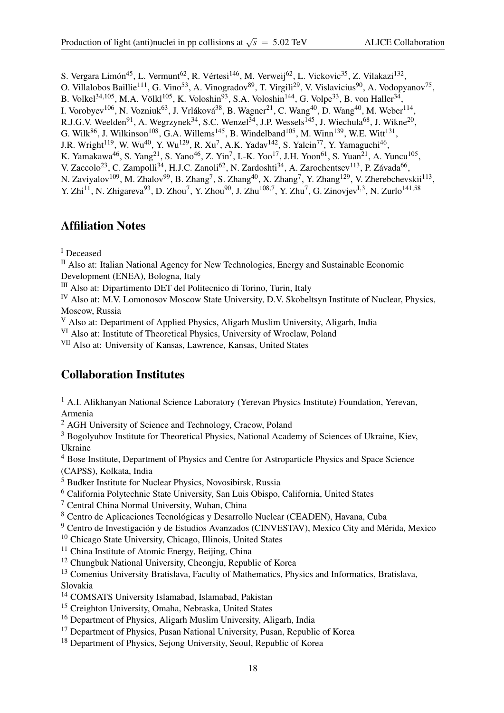S. Vergara Limón<sup>45</sup>, L. Vermunt<sup>62</sup>, R. Vértesi<sup>146</sup>, M. Verweij<sup>62</sup>, L. Vickovic<sup>35</sup>, Z. Vilakazi<sup>132</sup>, O. Villalobos Baillie<sup>111</sup>, G. Vino<sup>53</sup>, A. Vinogradov<sup>89</sup>, T. Virgili<sup>29</sup>, V. Vislavicius<sup>90</sup>, A. Vodopyanov<sup>75</sup>, B. Volkel<sup>34,105</sup>, M.A. Völkl<sup>105</sup>, K. Voloshin<sup>93</sup>, S.A. Voloshin<sup>144</sup>, G. Volpe<sup>33</sup>, B. von Haller<sup>34</sup>, I. Vorobyev<sup>106</sup>, N. Vozniuk<sup>63</sup>, J. Vrláková<sup>38</sup>, B. Wagner<sup>21</sup>, C. Wang<sup>40</sup>, D. Wang<sup>40</sup>, M. Weber<sup>114</sup>, R.J.G.V. Weelden<sup>91</sup>, A. Wegrzynek<sup>34</sup>, S.C. Wenzel<sup>34</sup>, J.P. Wessels<sup>145</sup>, J. Wiechula<sup>68</sup>, J. Wikne<sup>20</sup>, G. Wilk<sup>86</sup>, J. Wilkinson<sup>108</sup>, G.A. Willems<sup>145</sup>, B. Windelband<sup>105</sup>, M. Winn<sup>139</sup>, W.E. Witt<sup>131</sup>, J.R. Wright<sup>119</sup>, W. Wu<sup>40</sup>, Y. Wu<sup>129</sup>, R. Xu<sup>7</sup>, A.K. Yadav<sup>142</sup>, S. Yalcin<sup>77</sup>, Y. Yamaguchi<sup>46</sup>, K. Yamakawa<sup>46</sup>, S. Yang<sup>21</sup>, S. Yano<sup>46</sup>, Z. Yin<sup>7</sup>, I.-K. Yoo<sup>17</sup>, J.H. Yoon<sup>61</sup>, S. Yuan<sup>21</sup>, A. Yuncu<sup>105</sup>, V. Zaccolo<sup>23</sup>, C. Zampolli<sup>34</sup>, H.J.C. Zanoli<sup>62</sup>, N. Zardoshti<sup>34</sup>, A. Zarochentsev<sup>113</sup>, P. Závada<sup>66</sup>, N. Zaviyalov<sup>109</sup>, M. Zhalov<sup>99</sup>, B. Zhang<sup>7</sup>, S. Zhang<sup>40</sup>, X. Zhang<sup>7</sup>, Y. Zhang<sup>129</sup>, V. Zherebchevskii<sup>113</sup>, Y. Zhi<sup>11</sup>, N. Zhigareva<sup>93</sup>, D. Zhou<sup>7</sup>, Y. Zhou<sup>90</sup>, J. Zhu<sup>108,7</sup>, Y. Zhu<sup>7</sup>, G. Zinovjev<sup>I,3</sup>, N. Zurlo<sup>141,58</sup>

## Affiliation Notes

<sup>I</sup> Deceased

 $II$  Also at: Italian National Agency for New Technologies, Energy and Sustainable Economic Development (ENEA), Bologna, Italy

III Also at: Dipartimento DET del Politecnico di Torino, Turin, Italy

IV Also at: M.V. Lomonosov Moscow State University, D.V. Skobeltsyn Institute of Nuclear, Physics, Moscow, Russia

<sup>V</sup> Also at: Department of Applied Physics, Aligarh Muslim University, Aligarh, India

VI Also at: Institute of Theoretical Physics, University of Wroclaw, Poland

VII Also at: University of Kansas, Lawrence, Kansas, United States

# Collaboration Institutes

<sup>1</sup> A.I. Alikhanyan National Science Laboratory (Yerevan Physics Institute) Foundation, Yerevan, Armenia

<sup>2</sup> AGH University of Science and Technology, Cracow, Poland

<sup>3</sup> Bogolyubov Institute for Theoretical Physics, National Academy of Sciences of Ukraine, Kiev, Ukraine

<sup>4</sup> Bose Institute, Department of Physics and Centre for Astroparticle Physics and Space Science (CAPSS), Kolkata, India

<sup>5</sup> Budker Institute for Nuclear Physics, Novosibirsk, Russia

<sup>6</sup> California Polytechnic State University, San Luis Obispo, California, United States

<sup>7</sup> Central China Normal University, Wuhan, China

<sup>8</sup> Centro de Aplicaciones Tecnológicas y Desarrollo Nuclear (CEADEN), Havana, Cuba

<sup>9</sup> Centro de Investigación y de Estudios Avanzados (CINVESTAV), Mexico City and Mérida, Mexico

<sup>10</sup> Chicago State University, Chicago, Illinois, United States

<sup>11</sup> China Institute of Atomic Energy, Beijing, China

<sup>12</sup> Chungbuk National University, Cheongju, Republic of Korea

<sup>13</sup> Comenius University Bratislava, Faculty of Mathematics, Physics and Informatics, Bratislava, Slovakia

<sup>14</sup> COMSATS University Islamabad, Islamabad, Pakistan

<sup>15</sup> Creighton University, Omaha, Nebraska, United States

<sup>16</sup> Department of Physics, Aligarh Muslim University, Aligarh, India

<sup>17</sup> Department of Physics, Pusan National University, Pusan, Republic of Korea

<sup>18</sup> Department of Physics, Sejong University, Seoul, Republic of Korea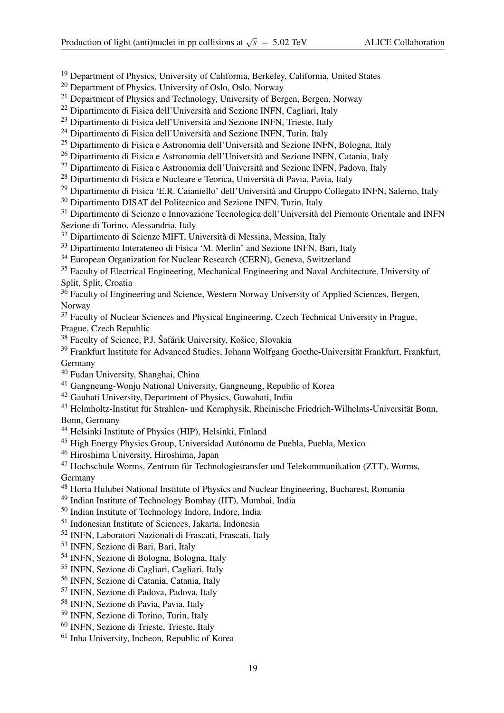Department of Physics, University of California, Berkeley, California, United States

- Department of Physics, University of Oslo, Oslo, Norway
- <sup>21</sup> Department of Physics and Technology, University of Bergen, Bergen, Norway
- Dipartimento di Fisica dell'Università and Sezione INFN, Cagliari, Italy
- Dipartimento di Fisica dell'Università and Sezione INFN, Trieste, Italy
- Dipartimento di Fisica dell'Università and Sezione INFN, Turin, Italy
- Dipartimento di Fisica e Astronomia dell'Università and Sezione INFN, Bologna, Italy
- Dipartimento di Fisica e Astronomia dell'Università and Sezione INFN, Catania, Italy
- Dipartimento di Fisica e Astronomia dell'Università and Sezione INFN, Padova, Italy
- Dipartimento di Fisica e Nucleare e Teorica, Università di Pavia, Pavia, Italy
- Dipartimento di Fisica 'E.R. Caianiello' dell'Università and Gruppo Collegato INFN, Salerno, Italy
- Dipartimento DISAT del Politecnico and Sezione INFN, Turin, Italy
- Dipartimento di Scienze e Innovazione Tecnologica dell'Università del Piemonte Orientale and INFN Sezione di Torino, Alessandria, Italy
- Dipartimento di Scienze MIFT, Università di Messina, Messina, Italy
- <sup>33</sup> Dipartimento Interateneo di Fisica 'M. Merlin' and Sezione INFN, Bari, Italy
- <sup>34</sup> European Organization for Nuclear Research (CERN), Geneva, Switzerland
- <sup>35</sup> Faculty of Electrical Engineering, Mechanical Engineering and Naval Architecture, University of Split, Split, Croatia
- <sup>36</sup> Faculty of Engineering and Science, Western Norway University of Applied Sciences, Bergen, Norway
- <sup>37</sup> Faculty of Nuclear Sciences and Physical Engineering, Czech Technical University in Prague, Prague, Czech Republic
- Faculty of Science, P.J. Šafárik University, Košice, Slovakia
- Frankfurt Institute for Advanced Studies, Johann Wolfgang Goethe-Universität Frankfurt, Frankfurt, Germany
- Fudan University, Shanghai, China
- Gangneung-Wonju National University, Gangneung, Republic of Korea
- Gauhati University, Department of Physics, Guwahati, India
- Helmholtz-Institut für Strahlen- und Kernphysik, Rheinische Friedrich-Wilhelms-Universität Bonn, Bonn, Germany
- Helsinki Institute of Physics (HIP), Helsinki, Finland
- High Energy Physics Group, Universidad Autónoma de Puebla, Puebla, Mexico
- Hiroshima University, Hiroshima, Japan
- Hochschule Worms, Zentrum für Technologietransfer und Telekommunikation (ZTT), Worms, Germany
- Horia Hulubei National Institute of Physics and Nuclear Engineering, Bucharest, Romania
- Indian Institute of Technology Bombay (IIT), Mumbai, India
- Indian Institute of Technology Indore, Indore, India
- Indonesian Institute of Sciences, Jakarta, Indonesia
- INFN, Laboratori Nazionali di Frascati, Frascati, Italy
- INFN, Sezione di Bari, Bari, Italy
- INFN, Sezione di Bologna, Bologna, Italy
- INFN, Sezione di Cagliari, Cagliari, Italy
- INFN, Sezione di Catania, Catania, Italy
- INFN, Sezione di Padova, Padova, Italy
- INFN, Sezione di Pavia, Pavia, Italy
- INFN, Sezione di Torino, Turin, Italy
- INFN, Sezione di Trieste, Trieste, Italy
- Inha University, Incheon, Republic of Korea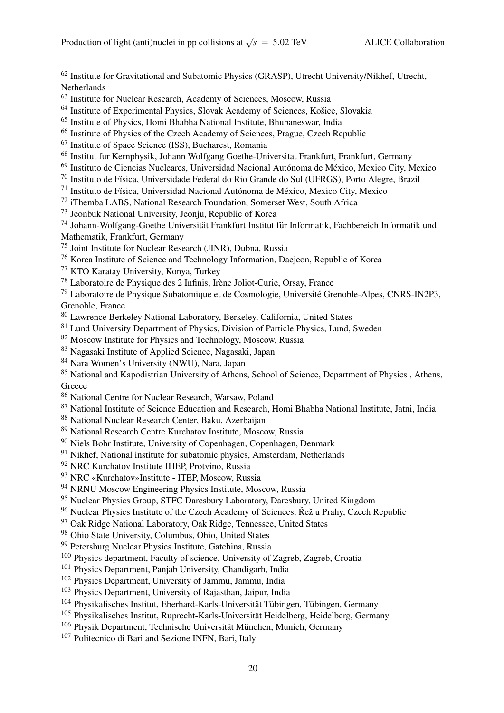<sup>62</sup> Institute for Gravitational and Subatomic Physics (GRASP), Utrecht University/Nikhef, Utrecht, Netherlands

- Institute for Nuclear Research, Academy of Sciences, Moscow, Russia
- Institute of Experimental Physics, Slovak Academy of Sciences, Košice, Slovakia
- Institute of Physics, Homi Bhabha National Institute, Bhubaneswar, India
- Institute of Physics of the Czech Academy of Sciences, Prague, Czech Republic
- Institute of Space Science (ISS), Bucharest, Romania
- Institut für Kernphysik, Johann Wolfgang Goethe-Universität Frankfurt, Frankfurt, Germany
- Instituto de Ciencias Nucleares, Universidad Nacional Autónoma de México, Mexico City, Mexico
- Instituto de Física, Universidade Federal do Rio Grande do Sul (UFRGS), Porto Alegre, Brazil
- Instituto de Física, Universidad Nacional Autónoma de México, Mexico City, Mexico
- iThemba LABS, National Research Foundation, Somerset West, South Africa
- Jeonbuk National University, Jeonju, Republic of Korea
- Johann-Wolfgang-Goethe Universität Frankfurt Institut für Informatik, Fachbereich Informatik und Mathematik, Frankfurt, Germany
- Joint Institute for Nuclear Research (JINR), Dubna, Russia
- Korea Institute of Science and Technology Information, Daejeon, Republic of Korea
- KTO Karatay University, Konya, Turkey
- Laboratoire de Physique des 2 Infinis, Irène Joliot-Curie, Orsay, France
- Laboratoire de Physique Subatomique et de Cosmologie, Université Grenoble-Alpes, CNRS-IN2P3, Grenoble, France
- Lawrence Berkeley National Laboratory, Berkeley, California, United States
- <sup>81</sup> Lund University Department of Physics, Division of Particle Physics, Lund, Sweden
- Moscow Institute for Physics and Technology, Moscow, Russia
- Nagasaki Institute of Applied Science, Nagasaki, Japan
- Nara Women's University (NWU), Nara, Japan
- <sup>85</sup> National and Kapodistrian University of Athens, School of Science, Department of Physics, Athens, Greece
- National Centre for Nuclear Research, Warsaw, Poland
- National Institute of Science Education and Research, Homi Bhabha National Institute, Jatni, India
- National Nuclear Research Center, Baku, Azerbaijan
- National Research Centre Kurchatov Institute, Moscow, Russia
- Niels Bohr Institute, University of Copenhagen, Copenhagen, Denmark
- <sup>91</sup> Nikhef, National institute for subatomic physics, Amsterdam, Netherlands
- NRC Kurchatov Institute IHEP, Protvino, Russia
- NRC «Kurchatov»Institute ITEP, Moscow, Russia
- NRNU Moscow Engineering Physics Institute, Moscow, Russia
- <sup>95</sup> Nuclear Physics Group, STFC Daresbury Laboratory, Daresbury, United Kingdom
- 96 Nuclear Physics Institute of the Czech Academy of Sciences, Řež u Prahy, Czech Republic
- Oak Ridge National Laboratory, Oak Ridge, Tennessee, United States
- Ohio State University, Columbus, Ohio, United States
- Petersburg Nuclear Physics Institute, Gatchina, Russia
- Physics department, Faculty of science, University of Zagreb, Zagreb, Croatia
- Physics Department, Panjab University, Chandigarh, India
- Physics Department, University of Jammu, Jammu, India
- Physics Department, University of Rajasthan, Jaipur, India
- Physikalisches Institut, Eberhard-Karls-Universität Tübingen, Tübingen, Germany
- Physikalisches Institut, Ruprecht-Karls-Universität Heidelberg, Heidelberg, Germany
- Physik Department, Technische Universität München, Munich, Germany
- Politecnico di Bari and Sezione INFN, Bari, Italy